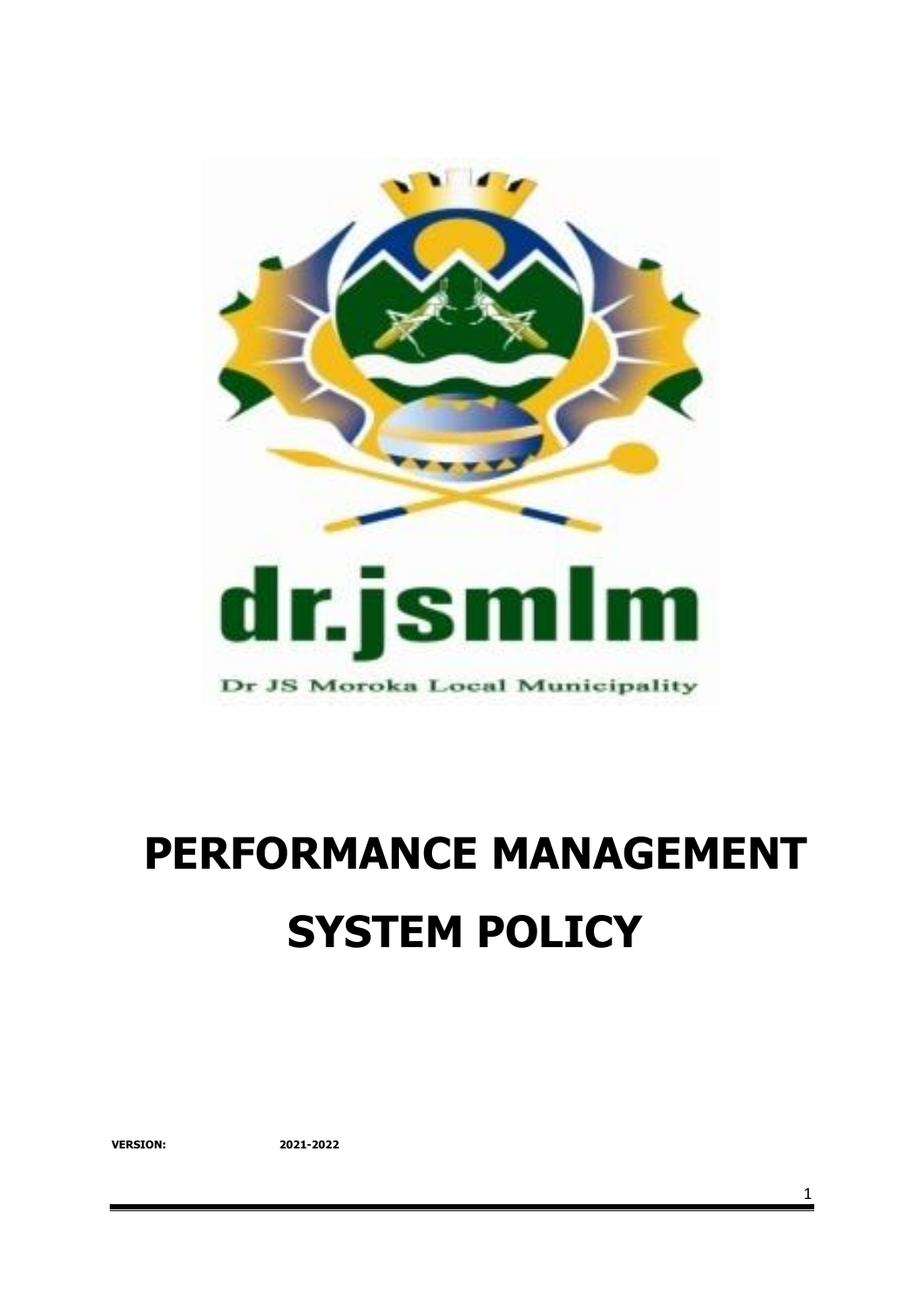

# **PERFORMANCE MANAGEMENT SYSTEM POLICY**

**VERSION: 2021-2022**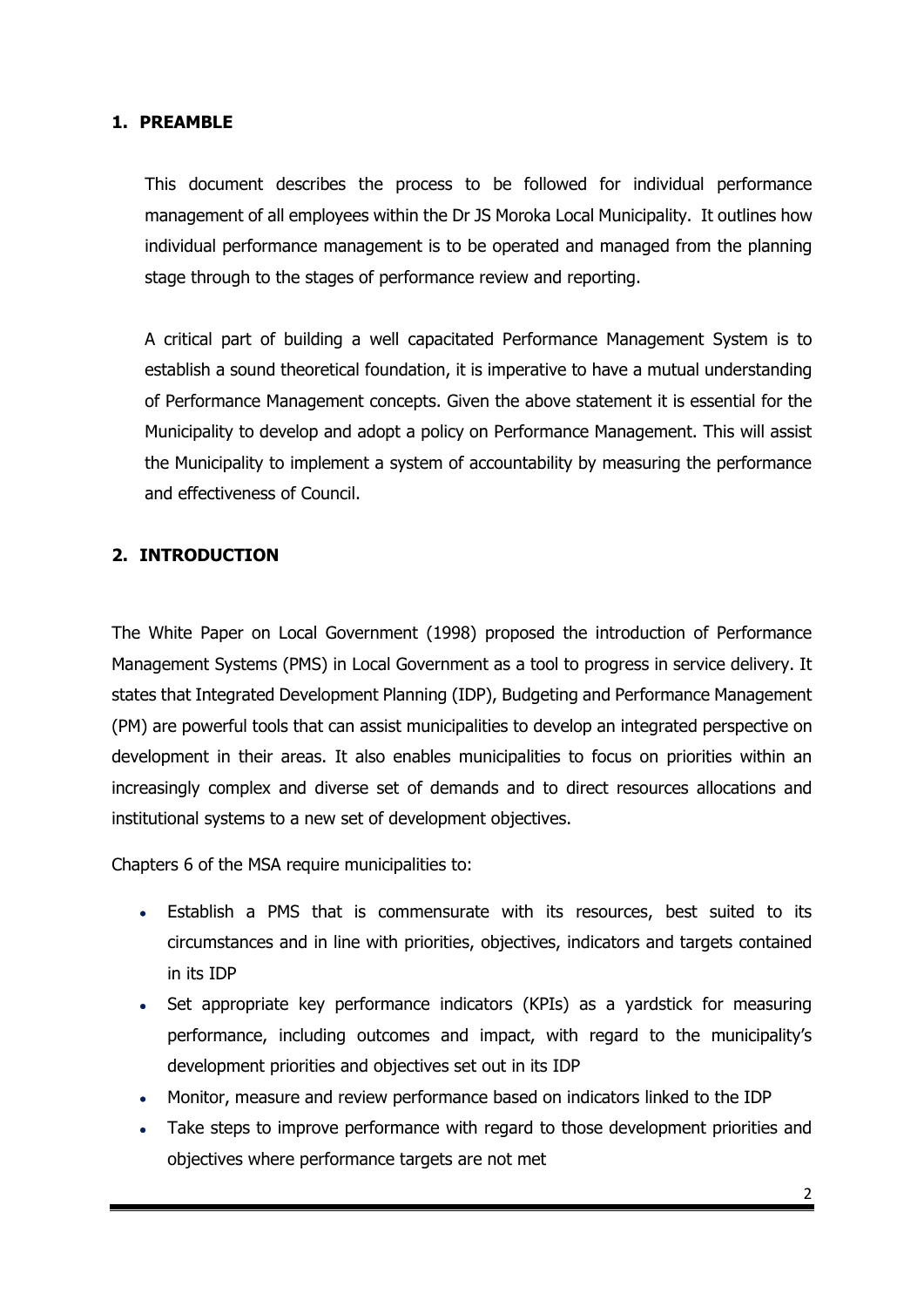#### **1. PREAMBLE**

This document describes the process to be followed for individual performance management of all employees within the Dr JS Moroka Local Municipality. It outlines how individual performance management is to be operated and managed from the planning stage through to the stages of performance review and reporting.

A critical part of building a well capacitated Performance Management System is to establish a sound theoretical foundation, it is imperative to have a mutual understanding of Performance Management concepts. Given the above statement it is essential for the Municipality to develop and adopt a policy on Performance Management. This will assist the Municipality to implement a system of accountability by measuring the performance and effectiveness of Council.

#### **2. INTRODUCTION**

The White Paper on Local Government (1998) proposed the introduction of Performance Management Systems (PMS) in Local Government as a tool to progress in service delivery. It states that Integrated Development Planning (IDP), Budgeting and Performance Management (PM) are powerful tools that can assist municipalities to develop an integrated perspective on development in their areas. It also enables municipalities to focus on priorities within an increasingly complex and diverse set of demands and to direct resources allocations and institutional systems to a new set of development objectives.

Chapters 6 of the MSA require municipalities to:

- Establish a PMS that is commensurate with its resources, best suited to its circumstances and in line with priorities, objectives, indicators and targets contained in its IDP
- Set appropriate key performance indicators (KPIs) as a yardstick for measuring performance, including outcomes and impact, with regard to the municipality's development priorities and objectives set out in its IDP
- Monitor, measure and review performance based on indicators linked to the IDP
- Take steps to improve performance with regard to those development priorities and objectives where performance targets are not met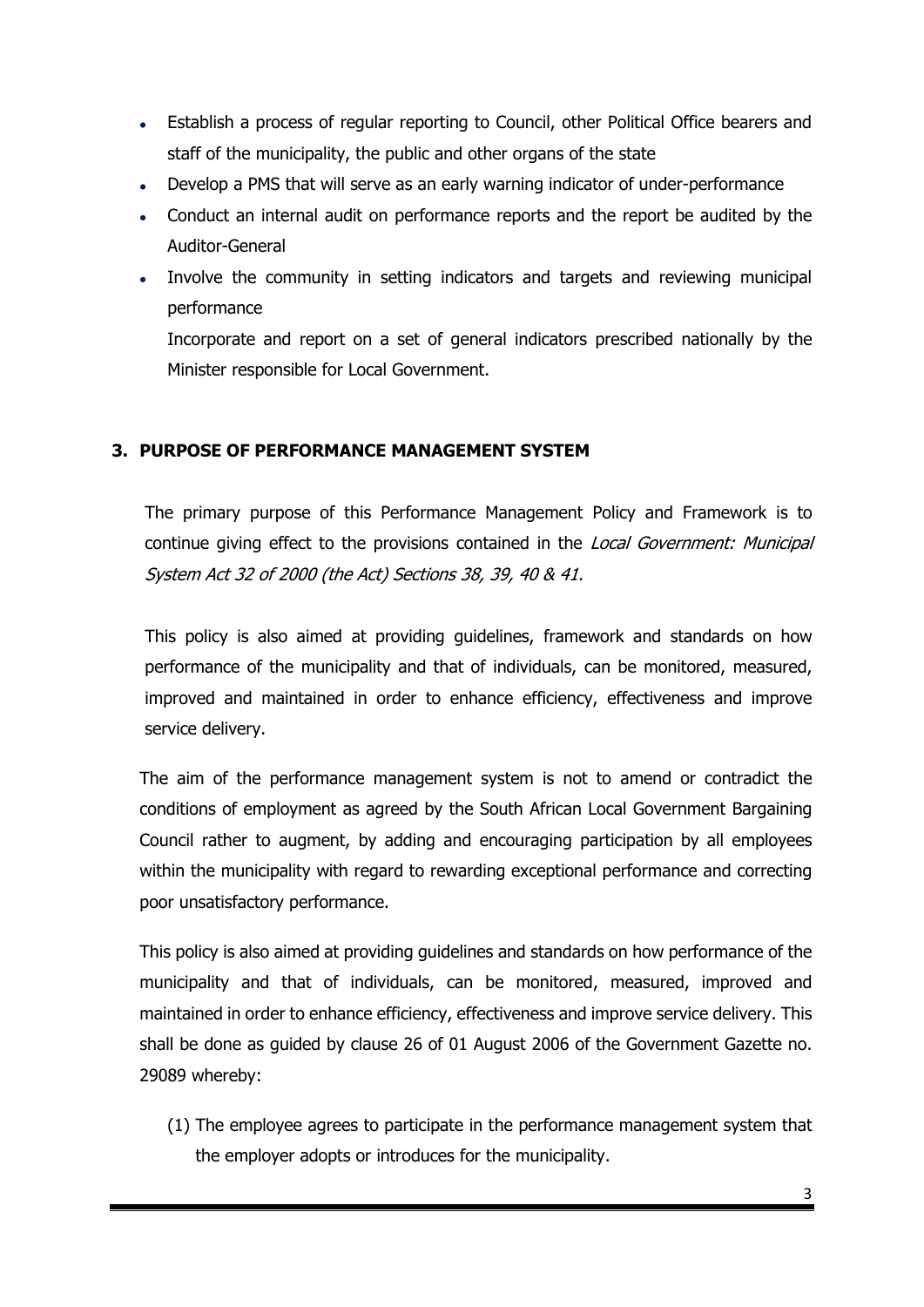- Establish a process of regular reporting to Council, other Political Office bearers and staff of the municipality, the public and other organs of the state
- Develop a PMS that will serve as an early warning indicator of under-performance
- Conduct an internal audit on performance reports and the report be audited by the Auditor-General
- Involve the community in setting indicators and targets and reviewing municipal performance

Incorporate and report on a set of general indicators prescribed nationally by the Minister responsible for Local Government.

## **3. PURPOSE OF PERFORMANCE MANAGEMENT SYSTEM**

The primary purpose of this Performance Management Policy and Framework is to continue giving effect to the provisions contained in the Local Government: Municipal System Act 32 of 2000 (the Act) Sections 38, 39, 40 & 41.

This policy is also aimed at providing guidelines, framework and standards on how performance of the municipality and that of individuals, can be monitored, measured, improved and maintained in order to enhance efficiency, effectiveness and improve service delivery.

The aim of the performance management system is not to amend or contradict the conditions of employment as agreed by the South African Local Government Bargaining Council rather to augment, by adding and encouraging participation by all employees within the municipality with regard to rewarding exceptional performance and correcting poor unsatisfactory performance.

This policy is also aimed at providing guidelines and standards on how performance of the municipality and that of individuals, can be monitored, measured, improved and maintained in order to enhance efficiency, effectiveness and improve service delivery. This shall be done as guided by clause 26 of 01 August 2006 of the Government Gazette no. 29089 whereby:

(1) The employee agrees to participate in the performance management system that the employer adopts or introduces for the municipality.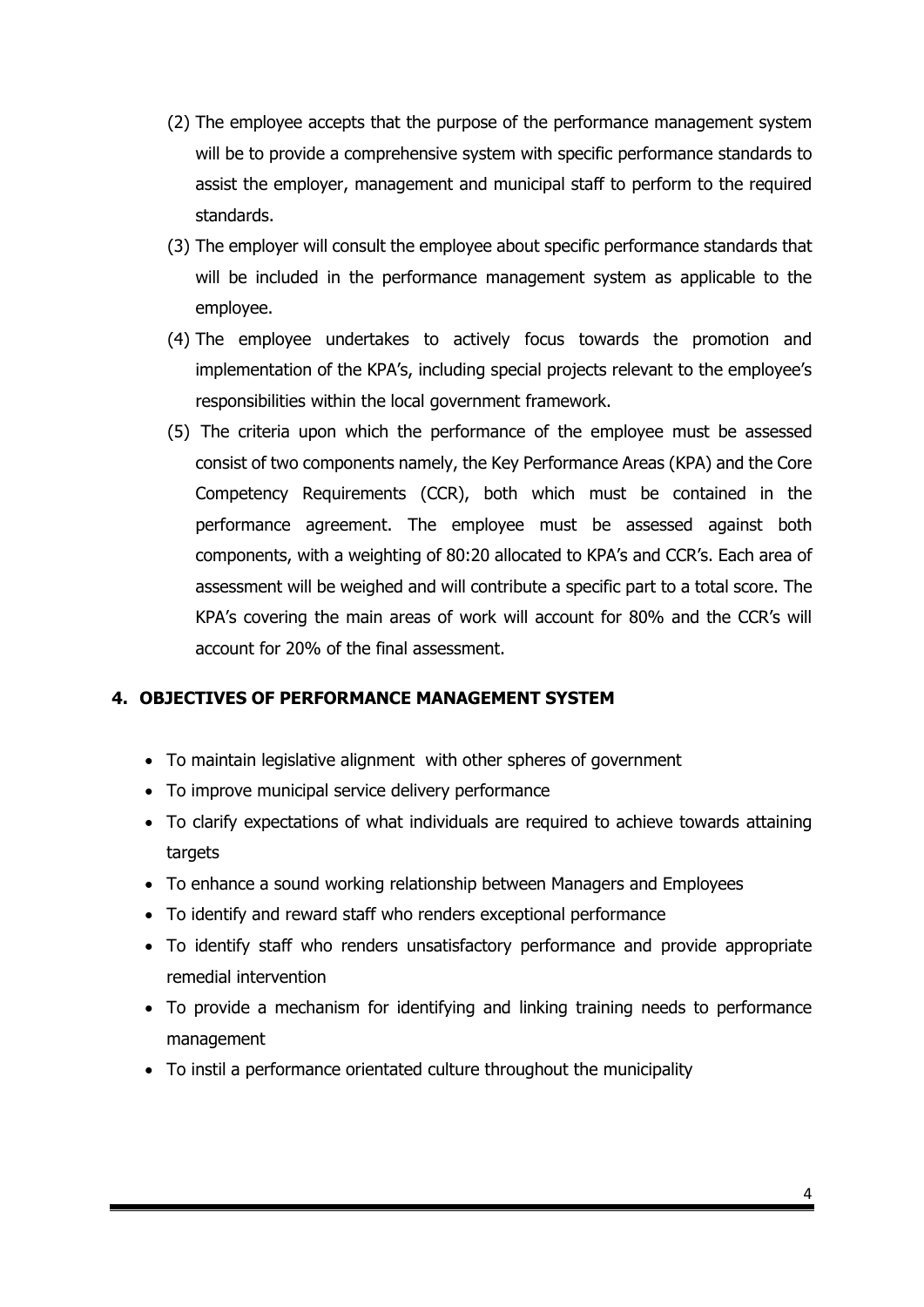- (2) The employee accepts that the purpose of the performance management system will be to provide a comprehensive system with specific performance standards to assist the employer, management and municipal staff to perform to the required standards.
- (3) The employer will consult the employee about specific performance standards that will be included in the performance management system as applicable to the employee.
- (4) The employee undertakes to actively focus towards the promotion and implementation of the KPA's, including special projects relevant to the employee's responsibilities within the local government framework.
- (5) The criteria upon which the performance of the employee must be assessed consist of two components namely, the Key Performance Areas (KPA) and the Core Competency Requirements (CCR), both which must be contained in the performance agreement. The employee must be assessed against both components, with a weighting of 80:20 allocated to KPA's and CCR's. Each area of assessment will be weighed and will contribute a specific part to a total score. The KPA's covering the main areas of work will account for 80% and the CCR's will account for 20% of the final assessment.

## **4. OBJECTIVES OF PERFORMANCE MANAGEMENT SYSTEM**

- To maintain legislative alignment with other spheres of government
- To improve municipal service delivery performance
- To clarify expectations of what individuals are required to achieve towards attaining targets
- To enhance a sound working relationship between Managers and Employees
- To identify and reward staff who renders exceptional performance
- To identify staff who renders unsatisfactory performance and provide appropriate remedial intervention
- To provide a mechanism for identifying and linking training needs to performance management
- To instil a performance orientated culture throughout the municipality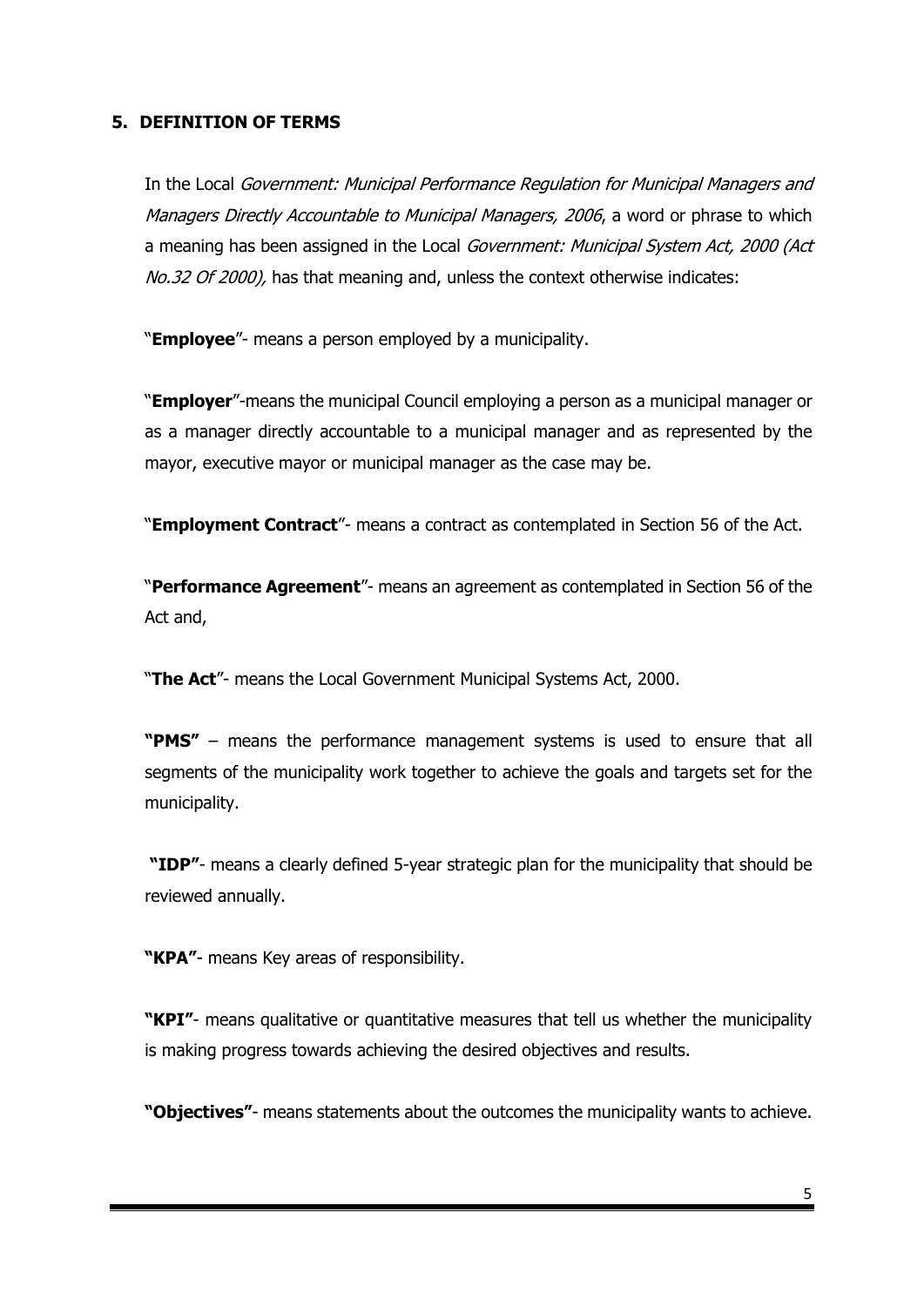#### **5. DEFINITION OF TERMS**

In the Local Government: Municipal Performance Regulation for Municipal Managers and Managers Directly Accountable to Municipal Managers, 2006, a word or phrase to which a meaning has been assigned in the Local Government: Municipal System Act, 2000 (Act No.32 Of 2000), has that meaning and, unless the context otherwise indicates:

"**Employee**"- means a person employed by a municipality.

"**Employer**"-means the municipal Council employing a person as a municipal manager or as a manager directly accountable to a municipal manager and as represented by the mayor, executive mayor or municipal manager as the case may be.

"**Employment Contract**"- means a contract as contemplated in Section 56 of the Act.

"**Performance Agreement**"- means an agreement as contemplated in Section 56 of the Act and,

"**The Act**"- means the Local Government Municipal Systems Act, 2000.

**"PMS"** – means the performance management systems is used to ensure that all segments of the municipality work together to achieve the goals and targets set for the municipality.

**"IDP"**- means a clearly defined 5-year strategic plan for the municipality that should be reviewed annually.

**"KPA"**- means Key areas of responsibility.

**"KPI"**- means qualitative or quantitative measures that tell us whether the municipality is making progress towards achieving the desired objectives and results.

**"Objectives"**- means statements about the outcomes the municipality wants to achieve.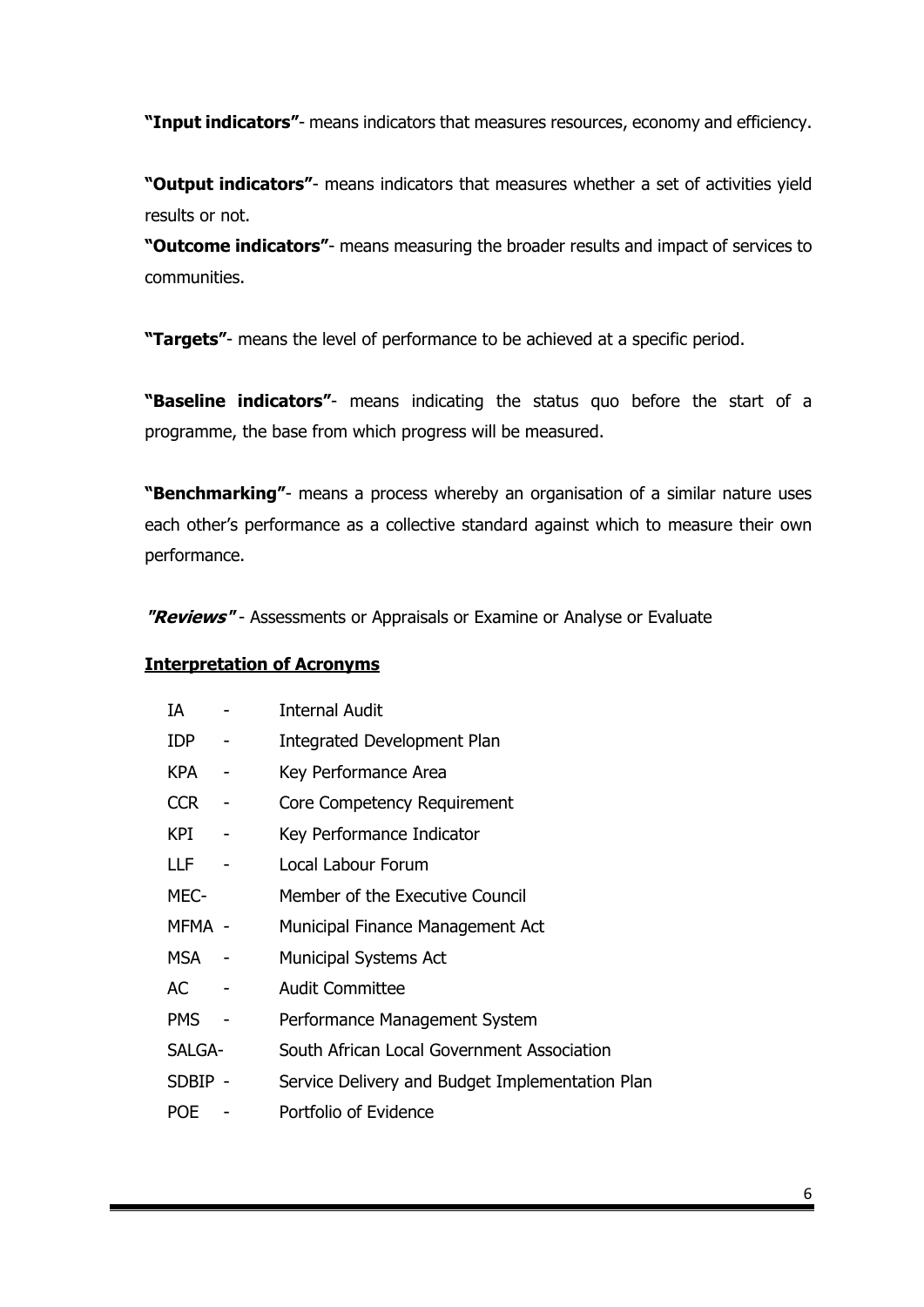**"Input indicators"**- means indicators that measures resources, economy and efficiency.

**"Output indicators"**- means indicators that measures whether a set of activities yield results or not.

**"Outcome indicators"**- means measuring the broader results and impact of services to communities.

**"Targets"**- means the level of performance to be achieved at a specific period.

**"Baseline indicators"**- means indicating the status quo before the start of a programme, the base from which progress will be measured.

**"Benchmarking"**- means a process whereby an organisation of a similar nature uses each other's performance as a collective standard against which to measure their own performance.

**"Reviews"** - Assessments or Appraisals or Examine or Analyse or Evaluate

#### **Interpretation of Acronyms**

| IA         | <b>Internal Audit</b>                           |
|------------|-------------------------------------------------|
| IDP        | <b>Integrated Development Plan</b>              |
| <b>KPA</b> | Key Performance Area                            |
| <b>CCR</b> | Core Competency Requirement                     |
| KPI        | Key Performance Indicator                       |
| LLF        | Local Labour Forum                              |
| MEC-       | Member of the Executive Council                 |
| MFMA -     | Municipal Finance Management Act                |
| MSA.       | <b>Municipal Systems Act</b>                    |
| AC         | <b>Audit Committee</b>                          |
| <b>PMS</b> | Performance Management System                   |
| SALGA-     | South African Local Government Association      |
| SDBIP -    | Service Delivery and Budget Implementation Plan |
| <b>POE</b> | Portfolio of Evidence                           |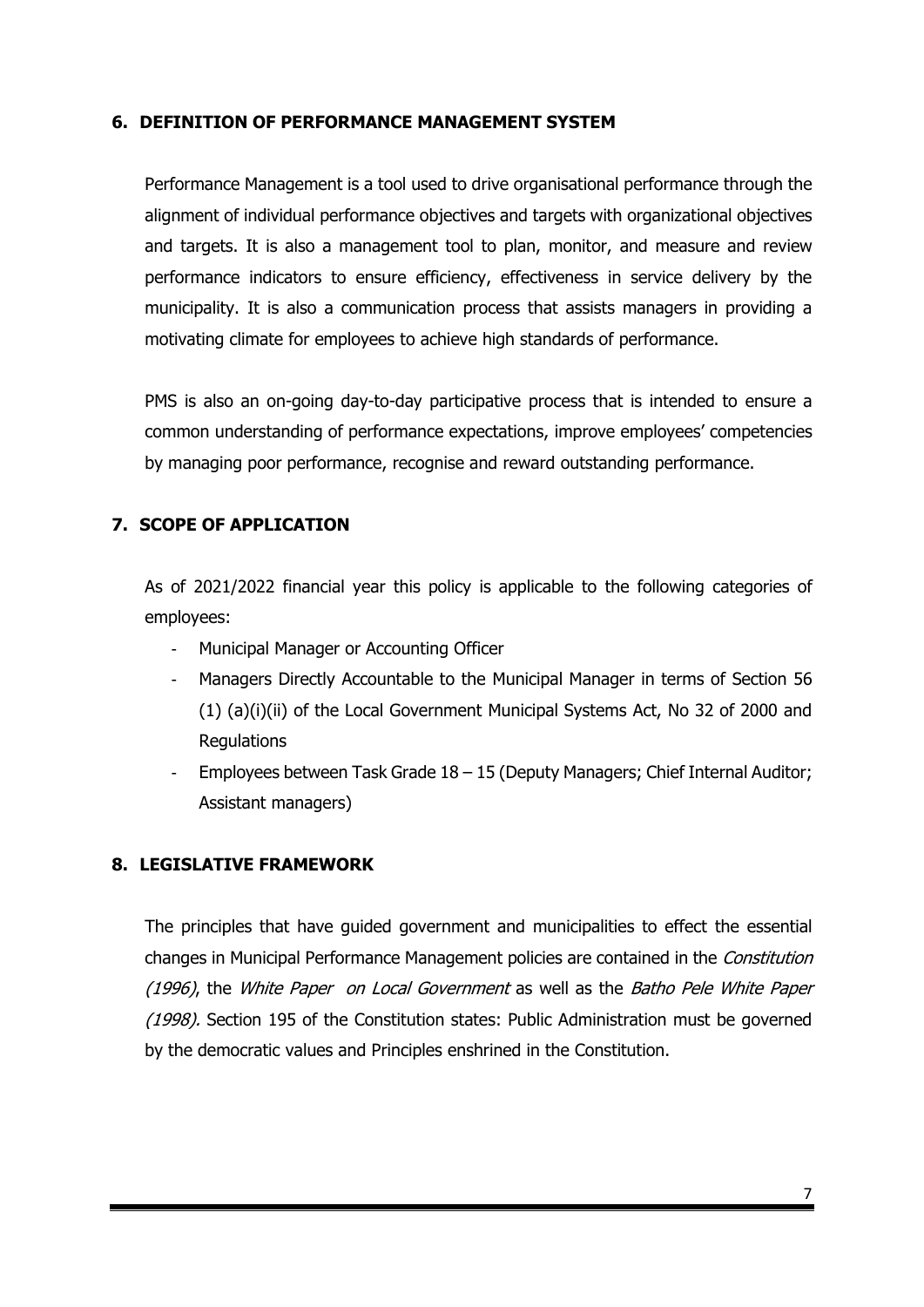#### **6. DEFINITION OF PERFORMANCE MANAGEMENT SYSTEM**

Performance Management is a tool used to drive organisational performance through the alignment of individual performance objectives and targets with organizational objectives and targets. It is also a management tool to plan, monitor, and measure and review performance indicators to ensure efficiency, effectiveness in service delivery by the municipality. It is also a communication process that assists managers in providing a motivating climate for employees to achieve high standards of performance.

PMS is also an on-going day-to-day participative process that is intended to ensure a common understanding of performance expectations, improve employees' competencies by managing poor performance, recognise and reward outstanding performance.

## **7. SCOPE OF APPLICATION**

As of 2021/2022 financial year this policy is applicable to the following categories of employees:

- Municipal Manager or Accounting Officer
- Managers Directly Accountable to the Municipal Manager in terms of Section 56 (1) (a)(i)(ii) of the Local Government Municipal Systems Act, No 32 of 2000 and **Regulations**
- Employees between Task Grade  $18 15$  (Deputy Managers; Chief Internal Auditor; Assistant managers)

#### **8. LEGISLATIVE FRAMEWORK**

The principles that have guided government and municipalities to effect the essential changes in Municipal Performance Management policies are contained in the Constitution (1996), the White Paper on Local Government as well as the Batho Pele White Paper (1998). Section 195 of the Constitution states: Public Administration must be governed by the democratic values and Principles enshrined in the Constitution.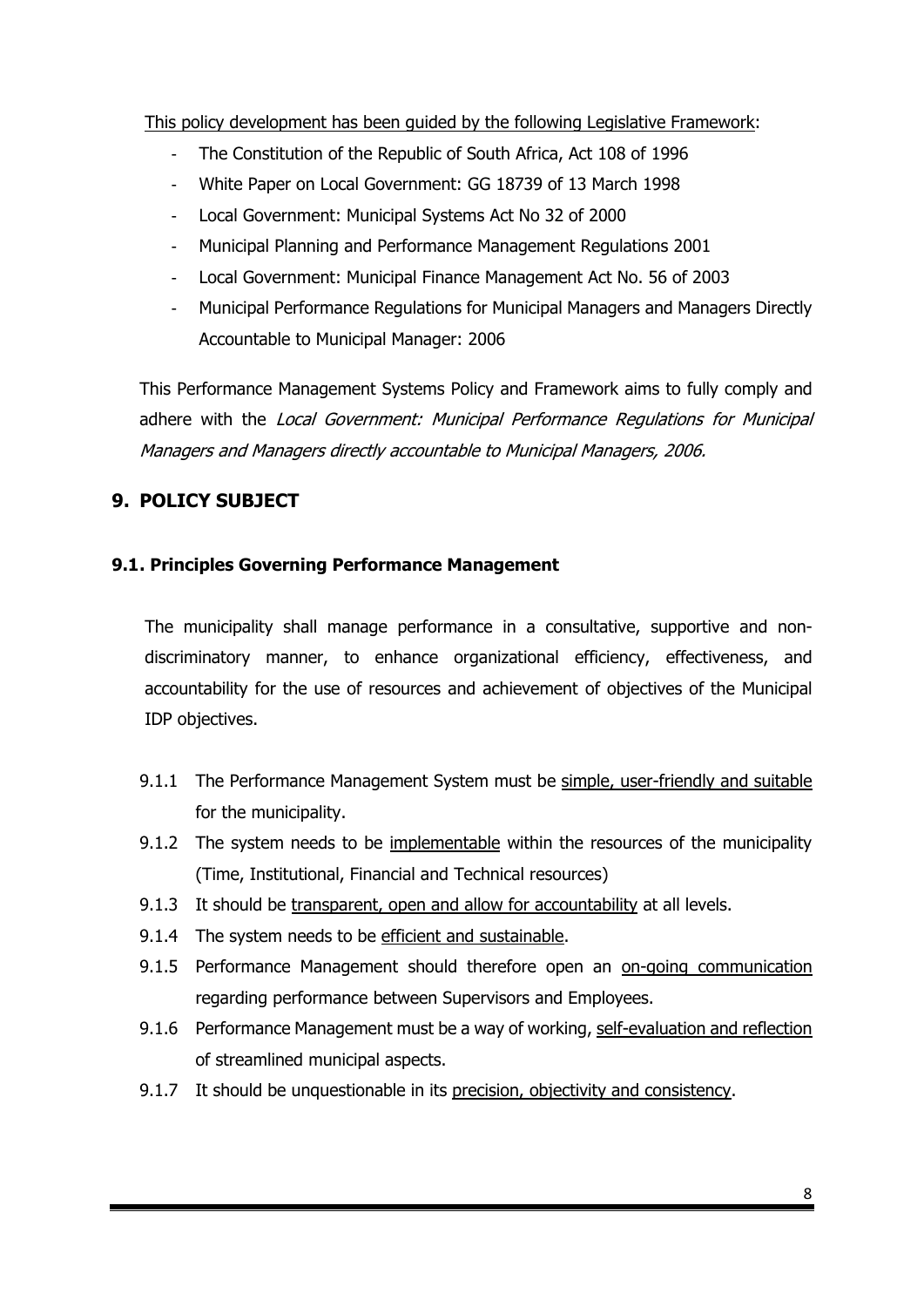This policy development has been guided by the following Legislative Framework:

- The Constitution of the Republic of South Africa, Act 108 of 1996
- White Paper on Local Government: GG 18739 of 13 March 1998
- Local Government: Municipal Systems Act No 32 of 2000
- Municipal Planning and Performance Management Regulations 2001
- Local Government: Municipal Finance Management Act No. 56 of 2003
- Municipal Performance Regulations for Municipal Managers and Managers Directly Accountable to Municipal Manager: 2006

This Performance Management Systems Policy and Framework aims to fully comply and adhere with the Local Government: Municipal Performance Regulations for Municipal Managers and Managers directly accountable to Municipal Managers, 2006.

# **9. POLICY SUBJECT**

## **9.1. Principles Governing Performance Management**

The municipality shall manage performance in a consultative, supportive and nondiscriminatory manner, to enhance organizational efficiency, effectiveness, and accountability for the use of resources and achievement of objectives of the Municipal IDP objectives.

- 9.1.1 The Performance Management System must be simple, user-friendly and suitable for the municipality.
- 9.1.2 The system needs to be implementable within the resources of the municipality (Time, Institutional, Financial and Technical resources)
- 9.1.3 It should be transparent, open and allow for accountability at all levels.
- 9.1.4 The system needs to be efficient and sustainable.
- 9.1.5 Performance Management should therefore open an on-going communication regarding performance between Supervisors and Employees.
- 9.1.6 Performance Management must be a way of working, self-evaluation and reflection of streamlined municipal aspects.
- 9.1.7 It should be unquestionable in its precision, objectivity and consistency.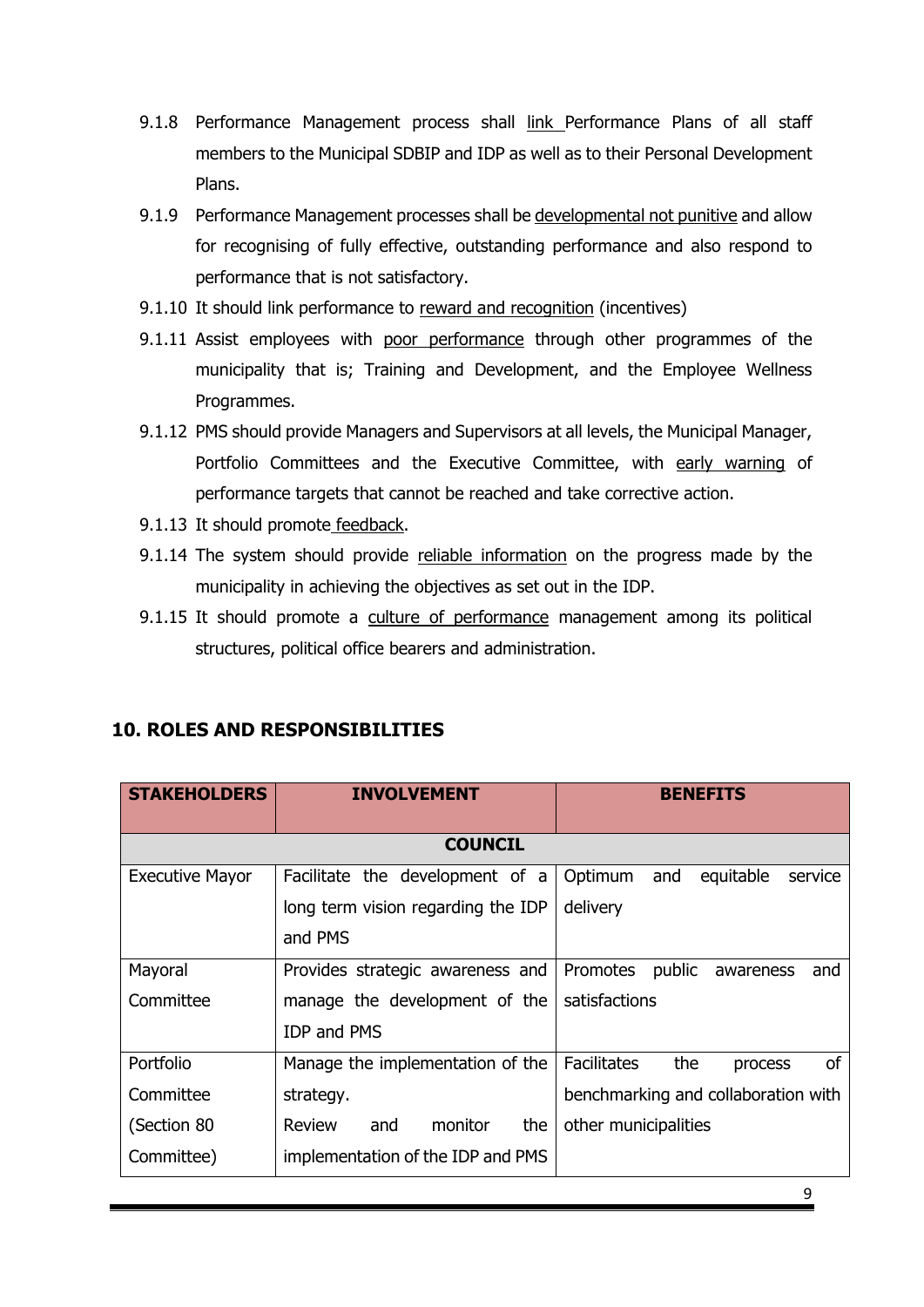- 9.1.8 Performance Management process shall link Performance Plans of all staff members to the Municipal SDBIP and IDP as well as to their Personal Development Plans.
- 9.1.9 Performance Management processes shall be developmental not punitive and allow for recognising of fully effective, outstanding performance and also respond to performance that is not satisfactory.
- 9.1.10 It should link performance to reward and recognition (incentives)
- 9.1.11 Assist employees with poor performance through other programmes of the municipality that is; Training and Development, and the Employee Wellness Programmes.
- 9.1.12 PMS should provide Managers and Supervisors at all levels, the Municipal Manager, Portfolio Committees and the Executive Committee, with early warning of performance targets that cannot be reached and take corrective action.
- 9.1.13 It should promote feedback.
- 9.1.14 The system should provide reliable information on the progress made by the municipality in achieving the objectives as set out in the IDP.
- 9.1.15 It should promote a culture of performance management among its political structures, political office bearers and administration.

| <b>STAKEHOLDERS</b>    | <b>INVOLVEMENT</b>                 | <b>BENEFITS</b>                                   |  |
|------------------------|------------------------------------|---------------------------------------------------|--|
|                        | <b>COUNCIL</b>                     |                                                   |  |
| <b>Executive Mayor</b> | Facilitate the development of a    | Optimum<br>equitable<br>and<br>service            |  |
|                        | long term vision regarding the IDP | delivery                                          |  |
|                        | and PMS                            |                                                   |  |
| Mayoral                | Provides strategic awareness and   | Promotes<br>public<br>awareness<br>and            |  |
| Committee              | manage the development of the      | satisfactions                                     |  |
|                        | <b>IDP and PMS</b>                 |                                                   |  |
| Portfolio              | Manage the implementation of the   | <b>of</b><br><b>Facilitates</b><br>the<br>process |  |
| Committee              | strategy.                          | benchmarking and collaboration with               |  |
| (Section 80            | monitor<br>Review<br>the<br>and    | other municipalities                              |  |
| Committee)             | implementation of the IDP and PMS  |                                                   |  |

## **10. ROLES AND RESPONSIBILITIES**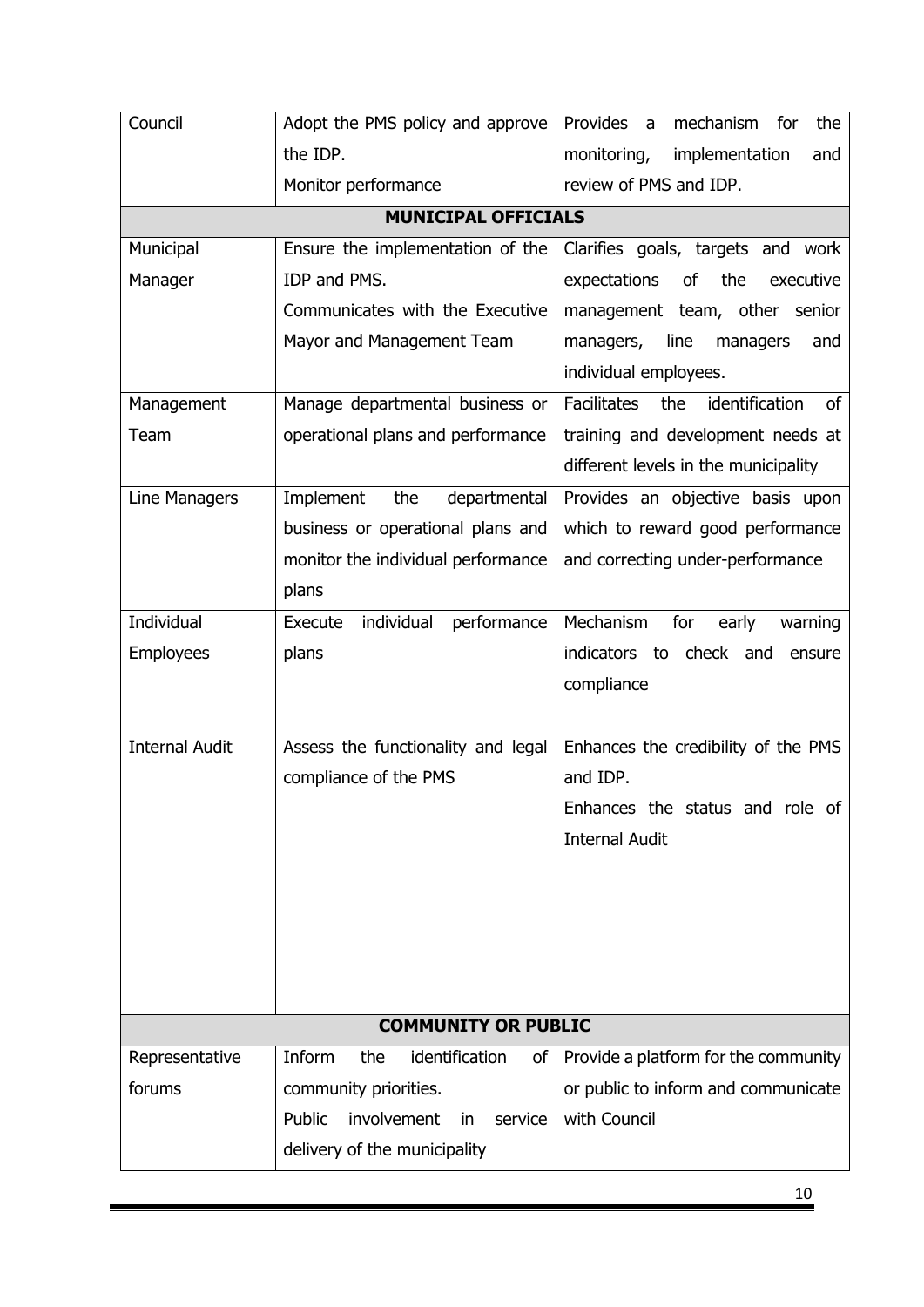| Council               | Adopt the PMS policy and approve              | Provides a<br>mechanism for<br>the         |
|-----------------------|-----------------------------------------------|--------------------------------------------|
|                       | the IDP.                                      | monitoring,<br>implementation<br>and       |
|                       | Monitor performance                           | review of PMS and IDP.                     |
|                       | <b>MUNICIPAL OFFICIALS</b>                    |                                            |
| Municipal             | Ensure the implementation of the              | Clarifies goals, targets and work          |
| Manager               | IDP and PMS.                                  | expectations<br>of<br>the<br>executive     |
|                       | Communicates with the Executive               | management team, other senior              |
|                       | Mayor and Management Team                     | managers,<br>line<br>managers<br>and       |
|                       |                                               | individual employees.                      |
| Management            | Manage departmental business or               | Facilitates<br>the<br>identification<br>of |
| Team                  | operational plans and performance             | training and development needs at          |
|                       |                                               | different levels in the municipality       |
| Line Managers         | Implement<br>the<br>departmental              | Provides an objective basis upon           |
|                       | business or operational plans and             | which to reward good performance           |
|                       | monitor the individual performance            | and correcting under-performance           |
|                       | plans                                         |                                            |
| Individual            | individual<br>performance<br>Execute          | Mechanism<br>for<br>early<br>warning       |
| <b>Employees</b>      | plans                                         | check and<br>indicators to<br>ensure       |
|                       |                                               | compliance                                 |
|                       |                                               |                                            |
| <b>Internal Audit</b> | Assess the functionality and legal            | Enhances the credibility of the PMS        |
|                       | compliance of the PMS                         | and IDP.                                   |
|                       |                                               | Enhances the status and role of            |
|                       |                                               | <b>Internal Audit</b>                      |
|                       |                                               |                                            |
|                       |                                               |                                            |
|                       |                                               |                                            |
|                       |                                               |                                            |
|                       |                                               |                                            |
|                       | <b>COMMUNITY OR PUBLIC</b>                    |                                            |
| Representative        | Inform<br>the<br>identification<br>of         | Provide a platform for the community       |
| forums                | community priorities.                         | or public to inform and communicate        |
|                       | involvement<br>Public<br>service<br><i>in</i> | with Council                               |
|                       | delivery of the municipality                  |                                            |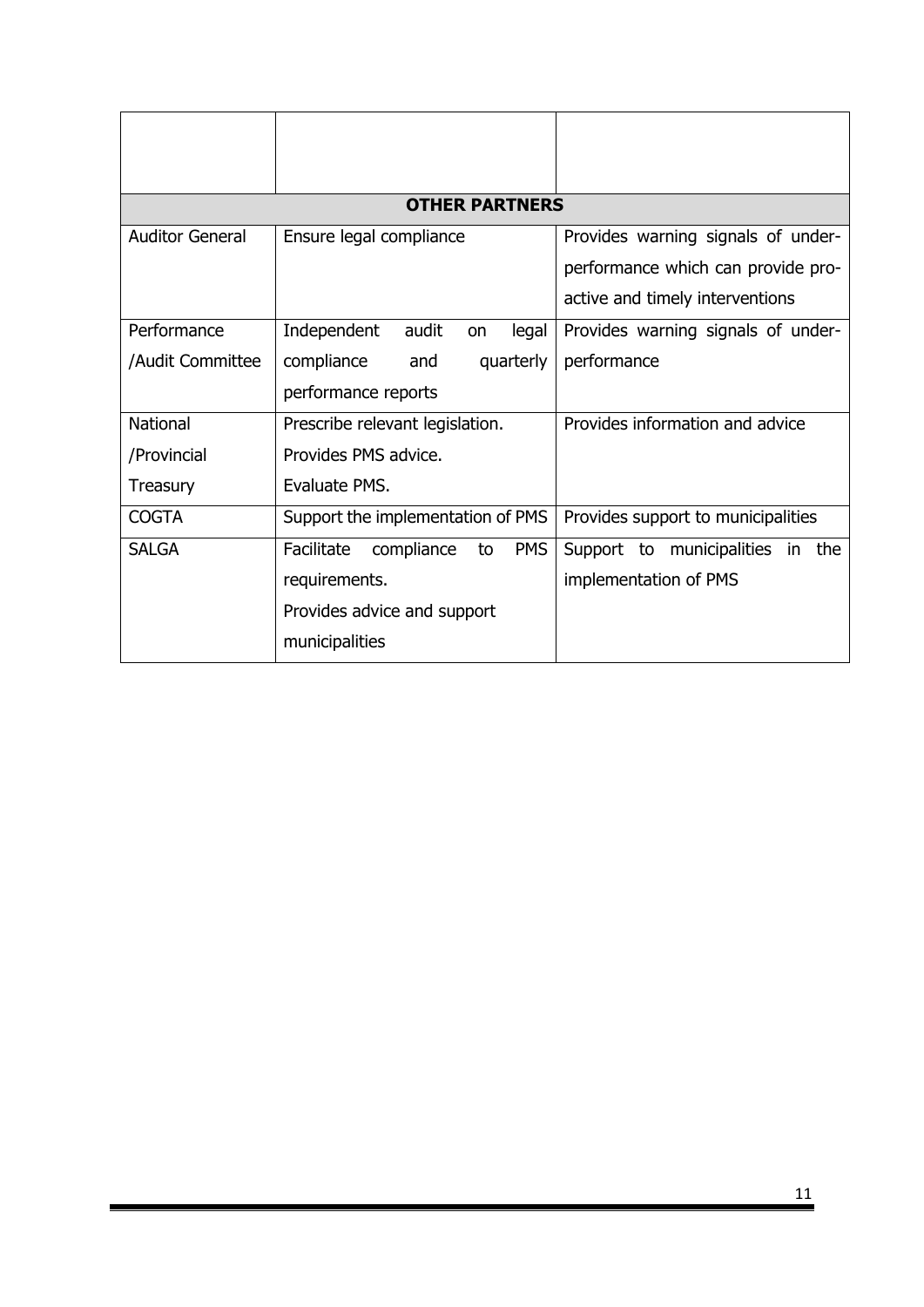|                        | <b>OTHER PARTNERS</b>                        |                                                                                                             |  |
|------------------------|----------------------------------------------|-------------------------------------------------------------------------------------------------------------|--|
| <b>Auditor General</b> | Ensure legal compliance                      | Provides warning signals of under-<br>performance which can provide pro-<br>active and timely interventions |  |
| Performance            | Independent<br>audit<br>legal<br>on          | Provides warning signals of under-                                                                          |  |
| /Audit Committee       | compliance<br>quarterly<br>and               | performance                                                                                                 |  |
|                        | performance reports                          |                                                                                                             |  |
| <b>National</b>        | Prescribe relevant legislation.              | Provides information and advice                                                                             |  |
| /Provincial            | Provides PMS advice.                         |                                                                                                             |  |
| Treasury               | Evaluate PMS.                                |                                                                                                             |  |
| <b>COGTA</b>           | Support the implementation of PMS            | Provides support to municipalities                                                                          |  |
| <b>SALGA</b>           | <b>PMS</b><br>Facilitate<br>compliance<br>to | Support to municipalities in<br>the                                                                         |  |
|                        | requirements.                                | implementation of PMS                                                                                       |  |
|                        | Provides advice and support                  |                                                                                                             |  |
|                        | municipalities                               |                                                                                                             |  |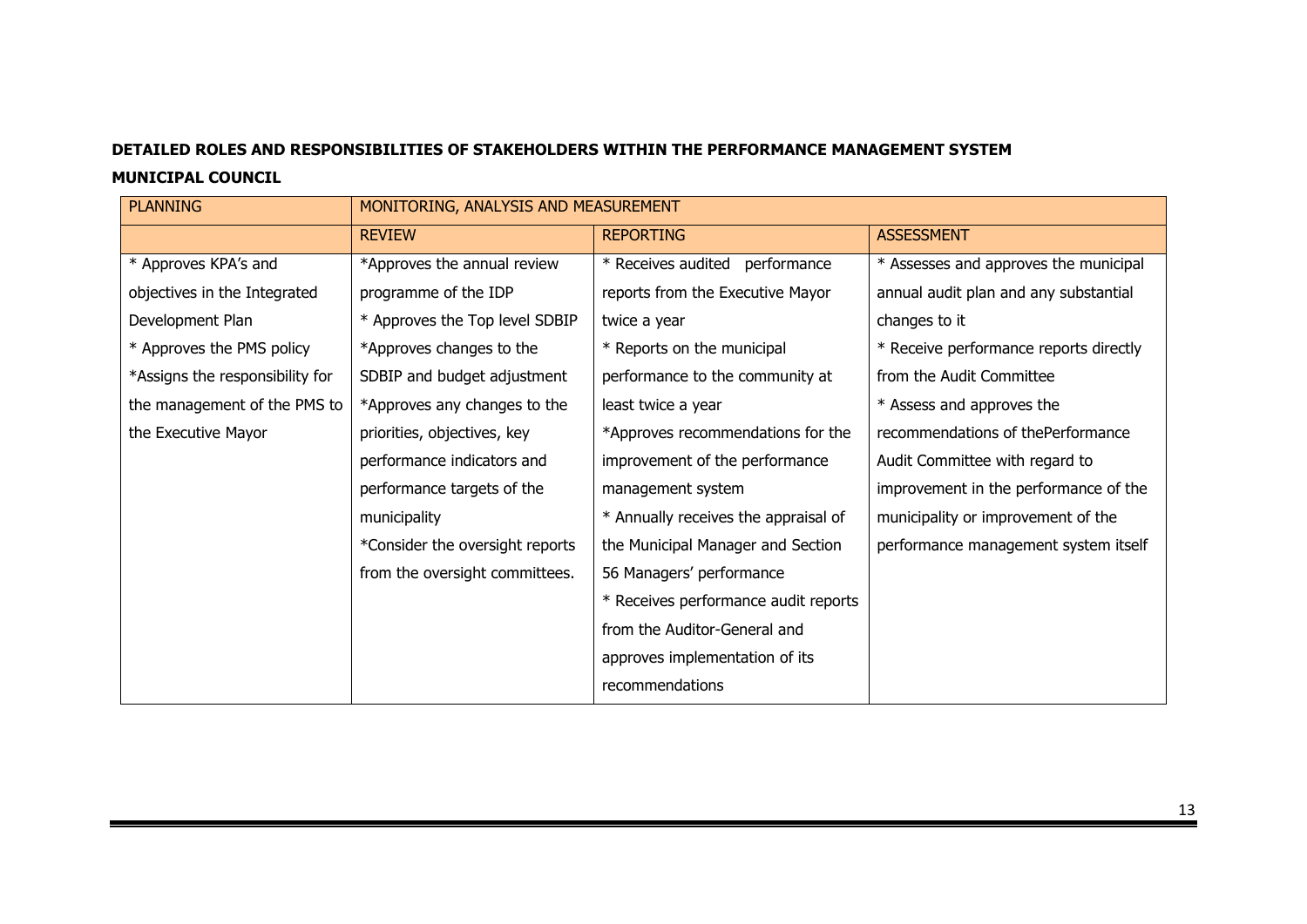#### **DETAILED ROLES AND RESPONSIBILITIES OF STAKEHOLDERS WITHIN THE PERFORMANCE MANAGEMENT SYSTEM**

#### **MUNICIPAL COUNCIL**

| <b>PLANNING</b>                 | MONITORING, ANALYSIS AND MEASUREMENT |                                      |                                        |
|---------------------------------|--------------------------------------|--------------------------------------|----------------------------------------|
|                                 | <b>REVIEW</b>                        | <b>REPORTING</b>                     | <b>ASSESSMENT</b>                      |
| * Approves KPA's and            | *Approves the annual review          | * Receives audited performance       | * Assesses and approves the municipal  |
| objectives in the Integrated    | programme of the IDP                 | reports from the Executive Mayor     | annual audit plan and any substantial  |
| Development Plan                | * Approves the Top level SDBIP       | twice a year                         | changes to it                          |
| * Approves the PMS policy       | *Approves changes to the             | * Reports on the municipal           | * Receive performance reports directly |
| *Assigns the responsibility for | SDBIP and budget adjustment          | performance to the community at      | from the Audit Committee               |
| the management of the PMS to    | *Approves any changes to the         | least twice a year                   | * Assess and approves the              |
| the Executive Mayor             | priorities, objectives, key          | *Approves recommendations for the    | recommendations of the Performance     |
|                                 | performance indicators and           | improvement of the performance       | Audit Committee with regard to         |
|                                 | performance targets of the           | management system                    | improvement in the performance of the  |
|                                 | municipality                         | * Annually receives the appraisal of | municipality or improvement of the     |
|                                 | *Consider the oversight reports      | the Municipal Manager and Section    | performance management system itself   |
|                                 | from the oversight committees.       | 56 Managers' performance             |                                        |
|                                 |                                      | * Receives performance audit reports |                                        |
|                                 |                                      | from the Auditor-General and         |                                        |
|                                 |                                      | approves implementation of its       |                                        |
|                                 |                                      | recommendations                      |                                        |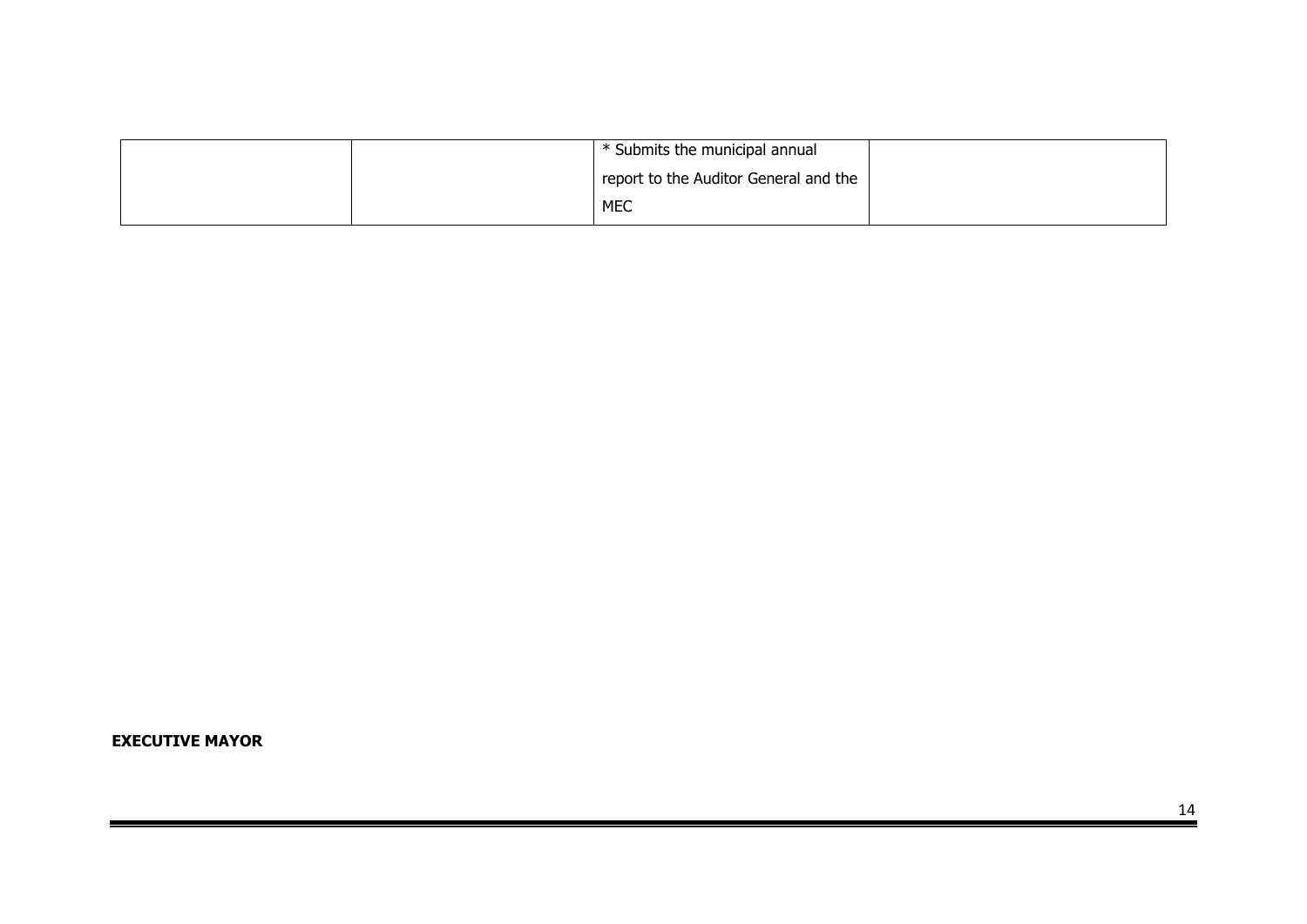|  | * Submits the municipal annual        |  |
|--|---------------------------------------|--|
|  | report to the Auditor General and the |  |
|  | <b>MEC</b>                            |  |

**EXECUTIVE MAYOR**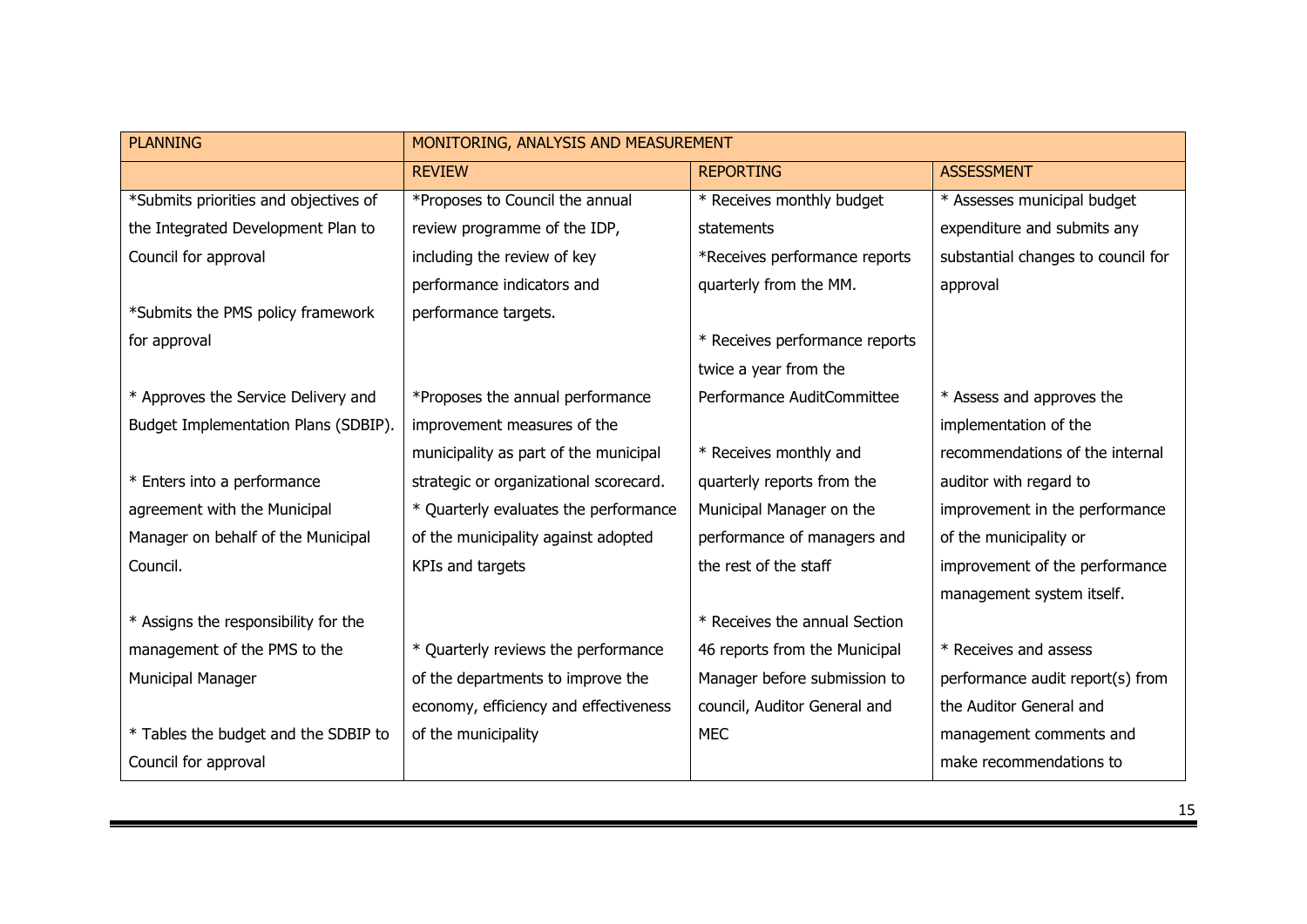| <b>PLANNING</b>                       | MONITORING, ANALYSIS AND MEASUREMENT   |                                |                                    |  |
|---------------------------------------|----------------------------------------|--------------------------------|------------------------------------|--|
|                                       | <b>REVIEW</b>                          | <b>REPORTING</b>               | <b>ASSESSMENT</b>                  |  |
| *Submits priorities and objectives of | *Proposes to Council the annual        | * Receives monthly budget      | * Assesses municipal budget        |  |
| the Integrated Development Plan to    | review programme of the IDP,           | statements                     | expenditure and submits any        |  |
| Council for approval                  | including the review of key            | *Receives performance reports  | substantial changes to council for |  |
|                                       | performance indicators and             | quarterly from the MM.         | approval                           |  |
| *Submits the PMS policy framework     | performance targets.                   |                                |                                    |  |
| for approval                          |                                        | * Receives performance reports |                                    |  |
|                                       |                                        | twice a year from the          |                                    |  |
| * Approves the Service Delivery and   | *Proposes the annual performance       | Performance AuditCommittee     | * Assess and approves the          |  |
| Budget Implementation Plans (SDBIP).  | improvement measures of the            |                                | implementation of the              |  |
|                                       | municipality as part of the municipal  | * Receives monthly and         | recommendations of the internal    |  |
| * Enters into a performance           | strategic or organizational scorecard. | quarterly reports from the     | auditor with regard to             |  |
| agreement with the Municipal          | * Quarterly evaluates the performance  | Municipal Manager on the       | improvement in the performance     |  |
| Manager on behalf of the Municipal    | of the municipality against adopted    | performance of managers and    | of the municipality or             |  |
| Council.                              | KPIs and targets                       | the rest of the staff          | improvement of the performance     |  |
|                                       |                                        |                                | management system itself.          |  |
| * Assigns the responsibility for the  |                                        | * Receives the annual Section  |                                    |  |
| management of the PMS to the          | * Quarterly reviews the performance    | 46 reports from the Municipal  | * Receives and assess              |  |
| Municipal Manager                     | of the departments to improve the      | Manager before submission to   | performance audit report(s) from   |  |
|                                       | economy, efficiency and effectiveness  | council, Auditor General and   | the Auditor General and            |  |
| * Tables the budget and the SDBIP to  | of the municipality                    | <b>MEC</b>                     | management comments and            |  |
| Council for approval                  |                                        |                                | make recommendations to            |  |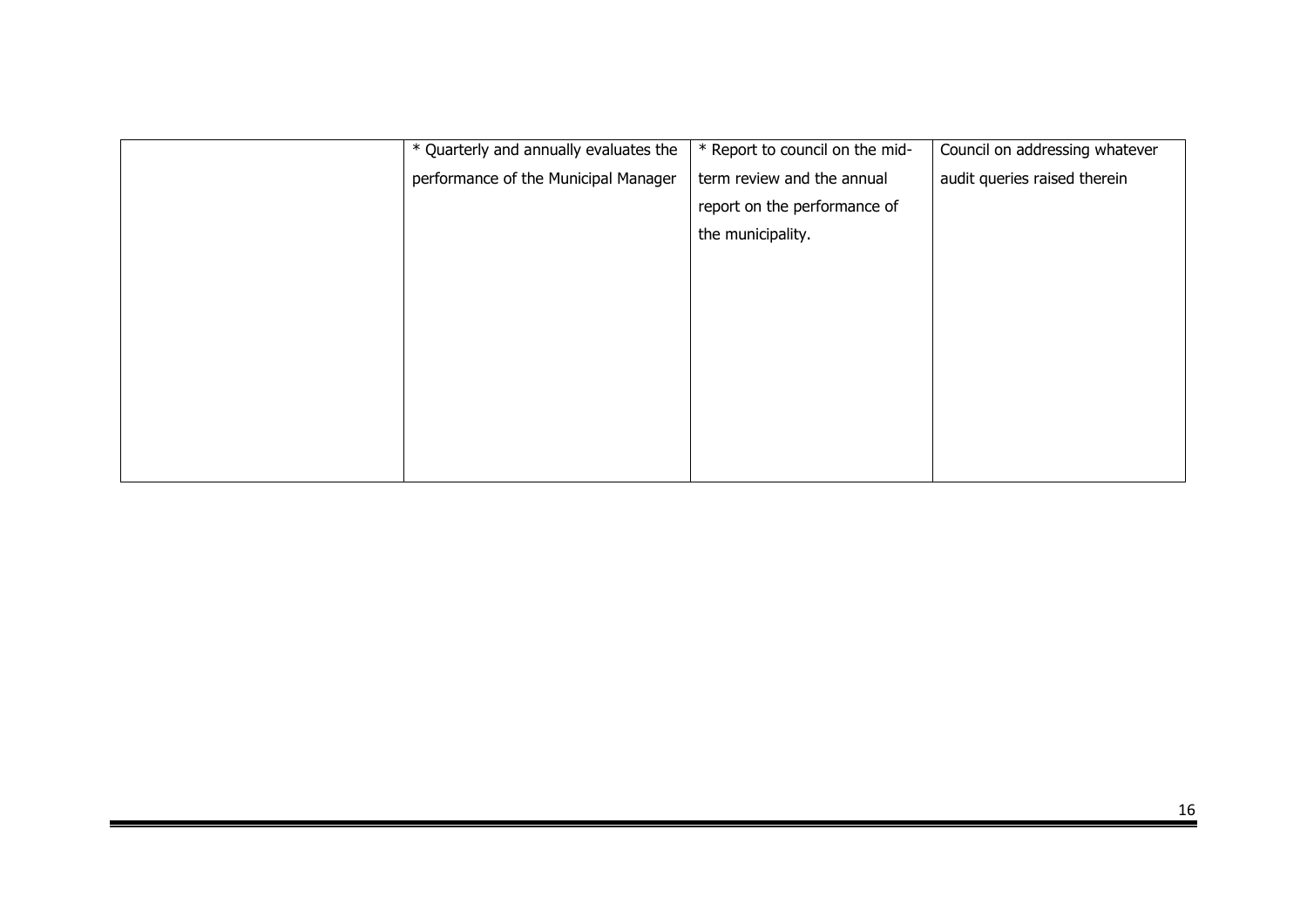| * Quarterly and annually evaluates the | * Report to council on the mid- | Council on addressing whatever |
|----------------------------------------|---------------------------------|--------------------------------|
| performance of the Municipal Manager   | term review and the annual      | audit queries raised therein   |
|                                        | report on the performance of    |                                |
|                                        | the municipality.               |                                |
|                                        |                                 |                                |
|                                        |                                 |                                |
|                                        |                                 |                                |
|                                        |                                 |                                |
|                                        |                                 |                                |
|                                        |                                 |                                |
|                                        |                                 |                                |
|                                        |                                 |                                |
|                                        |                                 |                                |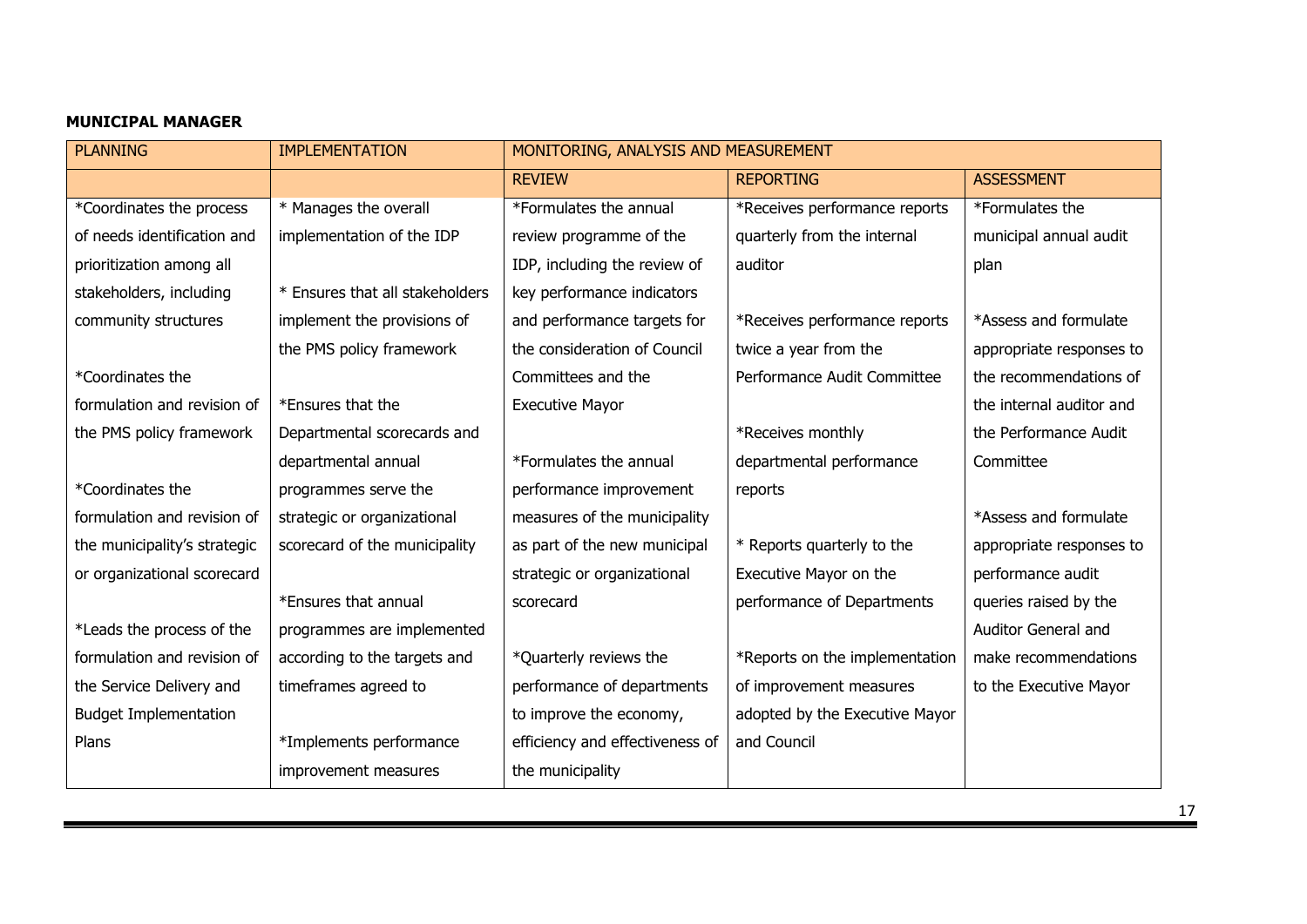## **MUNICIPAL MANAGER**

| <b>PLANNING</b>              | <b>IMPLEMENTATION</b>           | MONITORING, ANALYSIS AND MEASUREMENT |                                |                          |  |
|------------------------------|---------------------------------|--------------------------------------|--------------------------------|--------------------------|--|
|                              |                                 | <b>REVIEW</b>                        | <b>REPORTING</b>               | <b>ASSESSMENT</b>        |  |
| *Coordinates the process     | * Manages the overall           | *Formulates the annual               | *Receives performance reports  | *Formulates the          |  |
| of needs identification and  | implementation of the IDP       | review programme of the              | quarterly from the internal    | municipal annual audit   |  |
| prioritization among all     |                                 | IDP, including the review of         | auditor                        | plan                     |  |
| stakeholders, including      | * Ensures that all stakeholders | key performance indicators           |                                |                          |  |
| community structures         | implement the provisions of     | and performance targets for          | *Receives performance reports  | *Assess and formulate    |  |
|                              | the PMS policy framework        | the consideration of Council         | twice a year from the          | appropriate responses to |  |
| *Coordinates the             |                                 | Committees and the                   | Performance Audit Committee    | the recommendations of   |  |
| formulation and revision of  | *Ensures that the               | <b>Executive Mayor</b>               |                                | the internal auditor and |  |
| the PMS policy framework     | Departmental scorecards and     |                                      | *Receives monthly              | the Performance Audit    |  |
|                              | departmental annual             | *Formulates the annual               | departmental performance       | Committee                |  |
| *Coordinates the             | programmes serve the            | performance improvement              | reports                        |                          |  |
| formulation and revision of  | strategic or organizational     | measures of the municipality         |                                | *Assess and formulate    |  |
| the municipality's strategic | scorecard of the municipality   | as part of the new municipal         | * Reports quarterly to the     | appropriate responses to |  |
| or organizational scorecard  |                                 | strategic or organizational          | Executive Mayor on the         | performance audit        |  |
|                              | *Ensures that annual            | scorecard                            | performance of Departments     | queries raised by the    |  |
| *Leads the process of the    | programmes are implemented      |                                      |                                | Auditor General and      |  |
| formulation and revision of  | according to the targets and    | *Quarterly reviews the               | *Reports on the implementation | make recommendations     |  |
| the Service Delivery and     | timeframes agreed to            | performance of departments           | of improvement measures        | to the Executive Mayor   |  |
| <b>Budget Implementation</b> |                                 | to improve the economy,              | adopted by the Executive Mayor |                          |  |
| Plans                        | *Implements performance         | efficiency and effectiveness of      | and Council                    |                          |  |
|                              | improvement measures            | the municipality                     |                                |                          |  |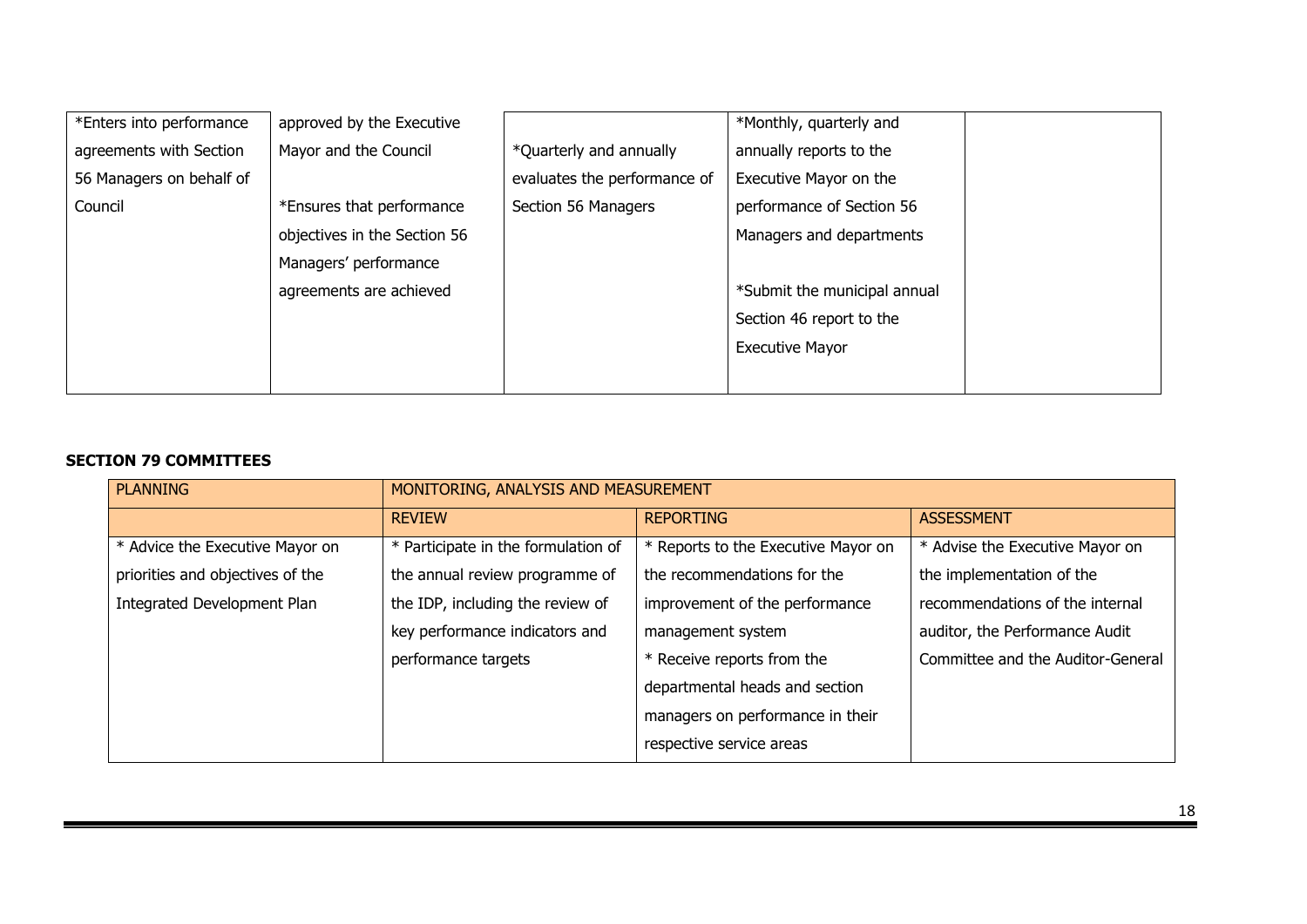| *Enters into performance | approved by the Executive    |                              | *Monthly, quarterly and      |
|--------------------------|------------------------------|------------------------------|------------------------------|
| agreements with Section  | Mayor and the Council        | *Quarterly and annually      | annually reports to the      |
| 56 Managers on behalf of |                              | evaluates the performance of | Executive Mayor on the       |
| Council                  | *Ensures that performance    | Section 56 Managers          | performance of Section 56    |
|                          | objectives in the Section 56 |                              | Managers and departments     |
|                          | Managers' performance        |                              |                              |
|                          | agreements are achieved      |                              | *Submit the municipal annual |
|                          |                              |                              | Section 46 report to the     |
|                          |                              |                              | <b>Executive Mayor</b>       |
|                          |                              |                              |                              |

#### **SECTION 79 COMMITTEES**

| <b>PLANNING</b>                  |                                                   | MONITORING, ANALYSIS AND MEASUREMENT |                                   |  |  |
|----------------------------------|---------------------------------------------------|--------------------------------------|-----------------------------------|--|--|
|                                  | <b>REVIEW</b>                                     | <b>REPORTING</b>                     | <b>ASSESSMENT</b>                 |  |  |
| * Advice the Executive Mayor on  | * Participate in the formulation of               | * Reports to the Executive Mayor on  | * Advise the Executive Mayor on   |  |  |
| priorities and objectives of the | the annual review programme of                    | the recommendations for the          | the implementation of the         |  |  |
| Integrated Development Plan      | the IDP, including the review of                  | improvement of the performance       | recommendations of the internal   |  |  |
|                                  | key performance indicators and                    | management system                    | auditor, the Performance Audit    |  |  |
|                                  | * Receive reports from the<br>performance targets |                                      | Committee and the Auditor-General |  |  |
|                                  |                                                   | departmental heads and section       |                                   |  |  |
|                                  |                                                   | managers on performance in their     |                                   |  |  |
|                                  |                                                   | respective service areas             |                                   |  |  |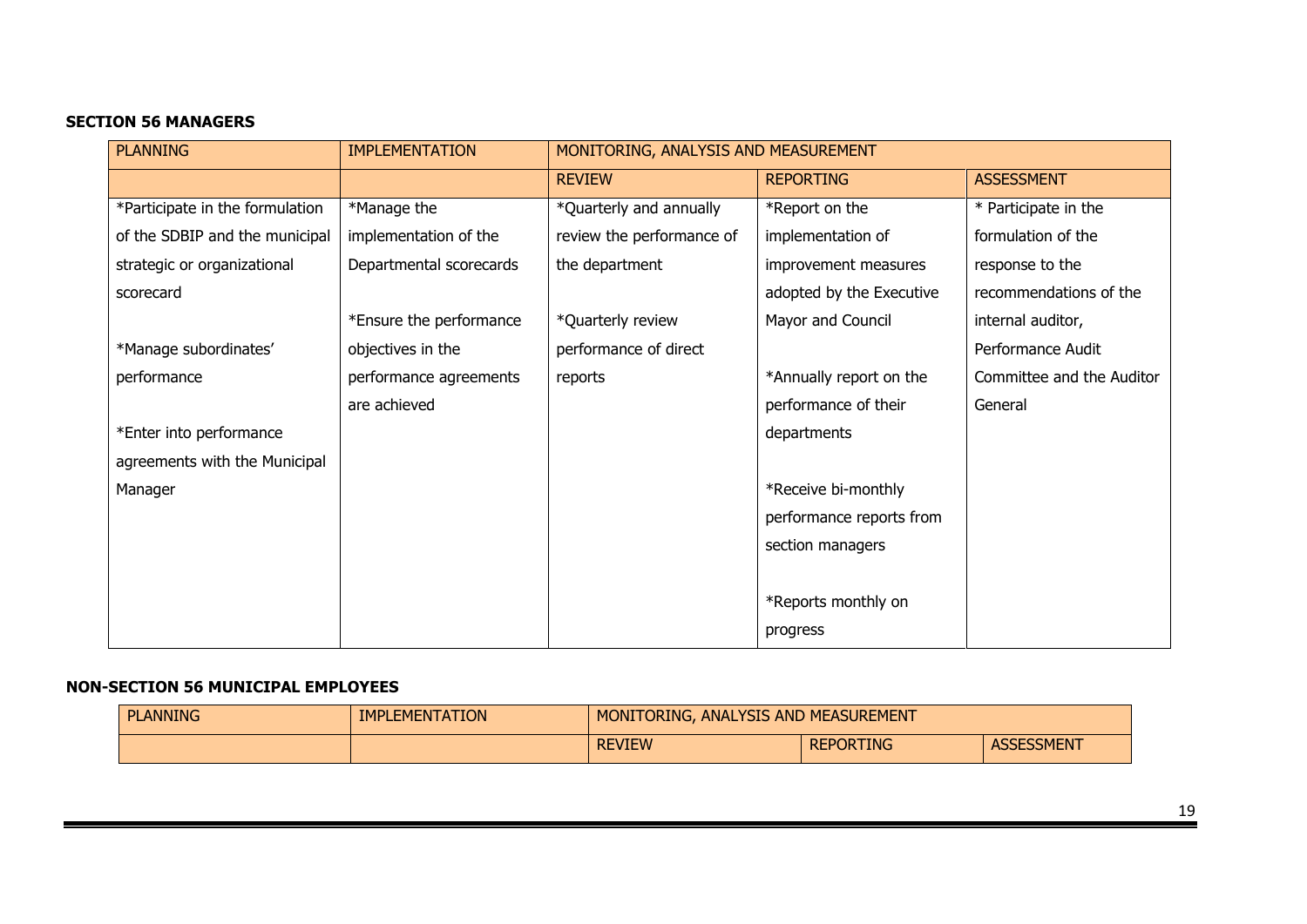## **SECTION 56 MANAGERS**

| <b>PLANNING</b>                 | <b>IMPLEMENTATION</b>   |                           | MONITORING, ANALYSIS AND MEASUREMENT |                           |  |
|---------------------------------|-------------------------|---------------------------|--------------------------------------|---------------------------|--|
|                                 |                         | <b>REVIEW</b>             | <b>REPORTING</b>                     | <b>ASSESSMENT</b>         |  |
| *Participate in the formulation | *Manage the             | *Quarterly and annually   | *Report on the                       | * Participate in the      |  |
| of the SDBIP and the municipal  | implementation of the   | review the performance of | implementation of                    | formulation of the        |  |
| strategic or organizational     | Departmental scorecards | the department            | improvement measures                 | response to the           |  |
| scorecard                       |                         |                           | adopted by the Executive             | recommendations of the    |  |
|                                 | *Ensure the performance | *Quarterly review         | Mayor and Council                    | internal auditor,         |  |
| *Manage subordinates'           | objectives in the       | performance of direct     |                                      | Performance Audit         |  |
| performance                     | performance agreements  | reports                   | *Annually report on the              | Committee and the Auditor |  |
|                                 | are achieved            |                           | performance of their                 | General                   |  |
| *Enter into performance         |                         |                           | departments                          |                           |  |
| agreements with the Municipal   |                         |                           |                                      |                           |  |
| Manager                         |                         |                           | *Receive bi-monthly                  |                           |  |
|                                 |                         |                           | performance reports from             |                           |  |
|                                 |                         |                           | section managers                     |                           |  |
|                                 |                         |                           |                                      |                           |  |
|                                 |                         |                           | *Reports monthly on                  |                           |  |
|                                 |                         |                           | progress                             |                           |  |

#### **NON-SECTION 56 MUNICIPAL EMPLOYEES**

| <b>PLANNING</b> | <b>IMPLEMENTATION</b> | MONITORING, ANALYSIS AND MEASUREMENT |                  |                   |
|-----------------|-----------------------|--------------------------------------|------------------|-------------------|
|                 |                       | <b>REVIEW</b>                        | <b>REPORTING</b> | <b>ASSESSMENT</b> |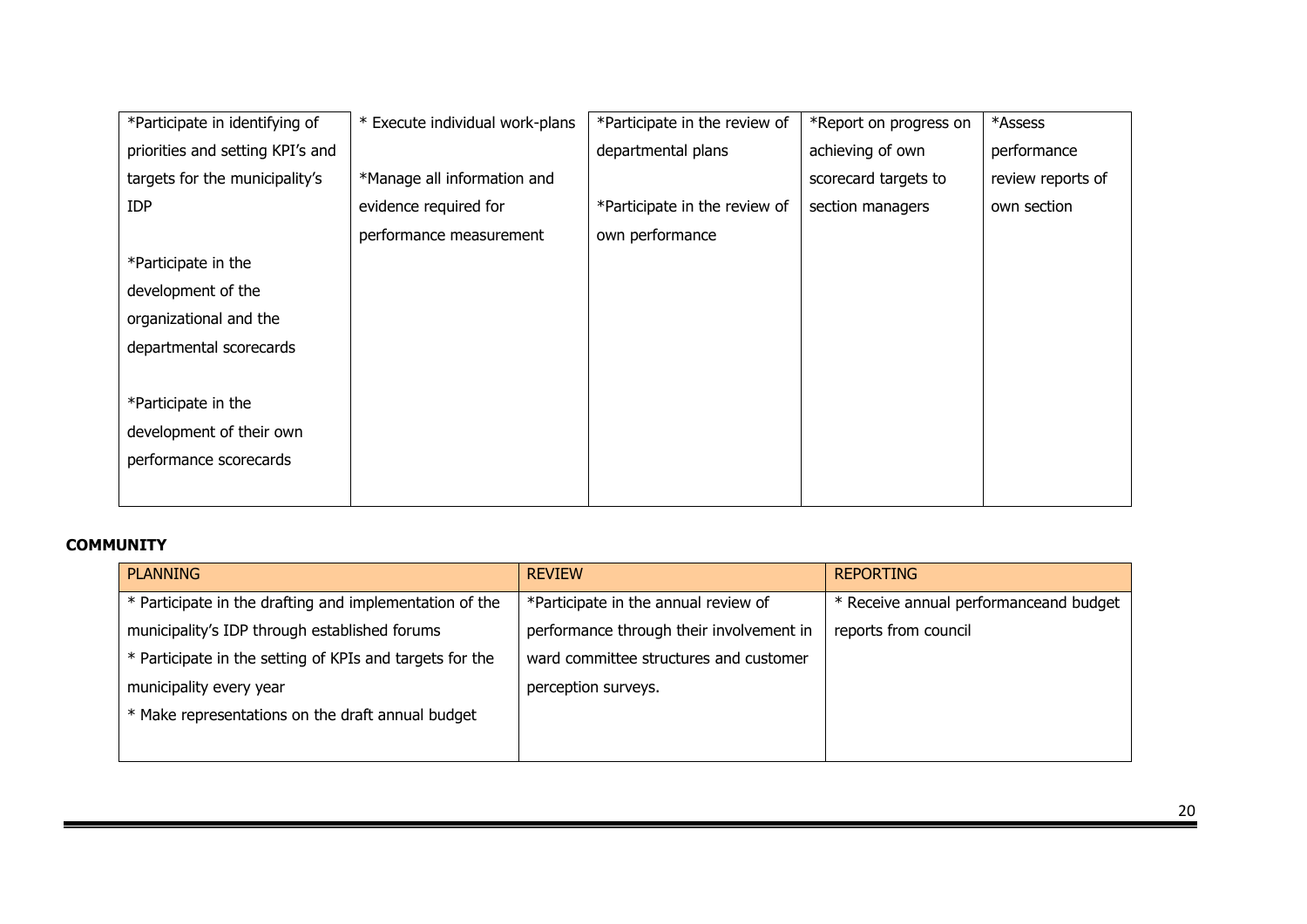| *Participate in identifying of   | * Execute individual work-plans | *Participate in the review of | *Report on progress on | *Assess           |
|----------------------------------|---------------------------------|-------------------------------|------------------------|-------------------|
| priorities and setting KPI's and |                                 | departmental plans            | achieving of own       | performance       |
| targets for the municipality's   | *Manage all information and     |                               | scorecard targets to   | review reports of |
| <b>IDP</b>                       | evidence required for           | *Participate in the review of | section managers       | own section       |
|                                  | performance measurement         | own performance               |                        |                   |
| *Participate in the              |                                 |                               |                        |                   |
| development of the               |                                 |                               |                        |                   |
| organizational and the           |                                 |                               |                        |                   |
| departmental scorecards          |                                 |                               |                        |                   |
|                                  |                                 |                               |                        |                   |
| *Participate in the              |                                 |                               |                        |                   |
| development of their own         |                                 |                               |                        |                   |
| performance scorecards           |                                 |                               |                        |                   |
|                                  |                                 |                               |                        |                   |

## **COMMUNITY**

| <b>PLANNING</b>                                          | <b>REVIEW</b>                            | <b>REPORTING</b>                       |
|----------------------------------------------------------|------------------------------------------|----------------------------------------|
| * Participate in the drafting and implementation of the  | *Participate in the annual review of     | * Receive annual performanceand budget |
| municipality's IDP through established forums            | performance through their involvement in | reports from council                   |
| * Participate in the setting of KPIs and targets for the | ward committee structures and customer   |                                        |
| municipality every year                                  | perception surveys.                      |                                        |
| * Make representations on the draft annual budget        |                                          |                                        |
|                                                          |                                          |                                        |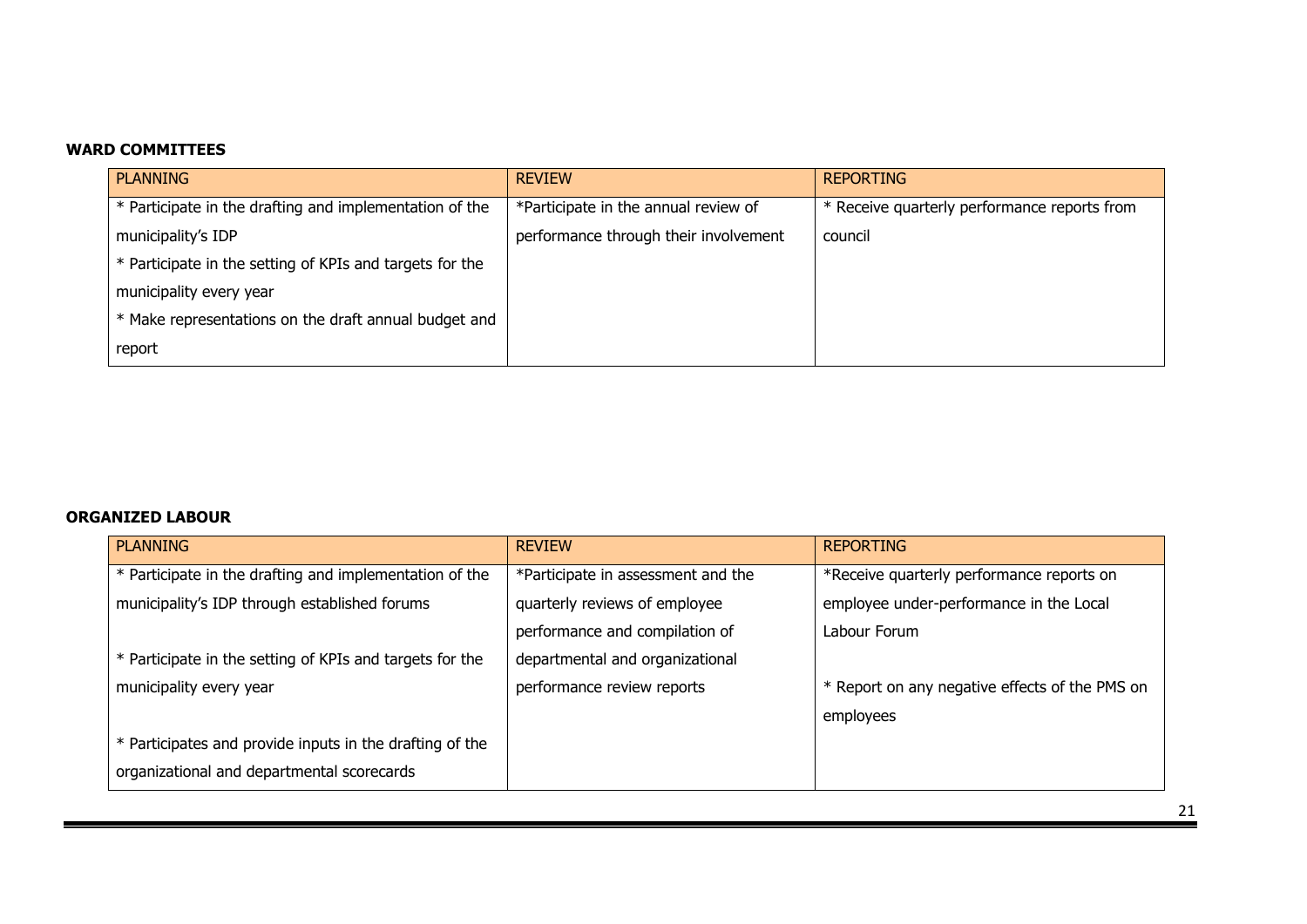#### **WARD COMMITTEES**

| <b>PLANNING</b>                                          | <b>REVIEW</b>                         | <b>REPORTING</b>                             |
|----------------------------------------------------------|---------------------------------------|----------------------------------------------|
| * Participate in the drafting and implementation of the  | *Participate in the annual review of  | * Receive quarterly performance reports from |
| municipality's IDP                                       | performance through their involvement | council                                      |
| * Participate in the setting of KPIs and targets for the |                                       |                                              |
| municipality every year                                  |                                       |                                              |
| * Make representations on the draft annual budget and    |                                       |                                              |
| report                                                   |                                       |                                              |

#### **ORGANIZED LABOUR**

| <b>PLANNING</b>                                          | <b>REVIEW</b>                      | <b>REPORTING</b>                               |
|----------------------------------------------------------|------------------------------------|------------------------------------------------|
| * Participate in the drafting and implementation of the  | *Participate in assessment and the | *Receive quarterly performance reports on      |
| municipality's IDP through established forums            | quarterly reviews of employee      | employee under-performance in the Local        |
|                                                          | performance and compilation of     | Labour Forum                                   |
| * Participate in the setting of KPIs and targets for the | departmental and organizational    |                                                |
| municipality every year                                  | performance review reports         | * Report on any negative effects of the PMS on |
|                                                          |                                    | employees                                      |
| * Participates and provide inputs in the drafting of the |                                    |                                                |
| organizational and departmental scorecards               |                                    |                                                |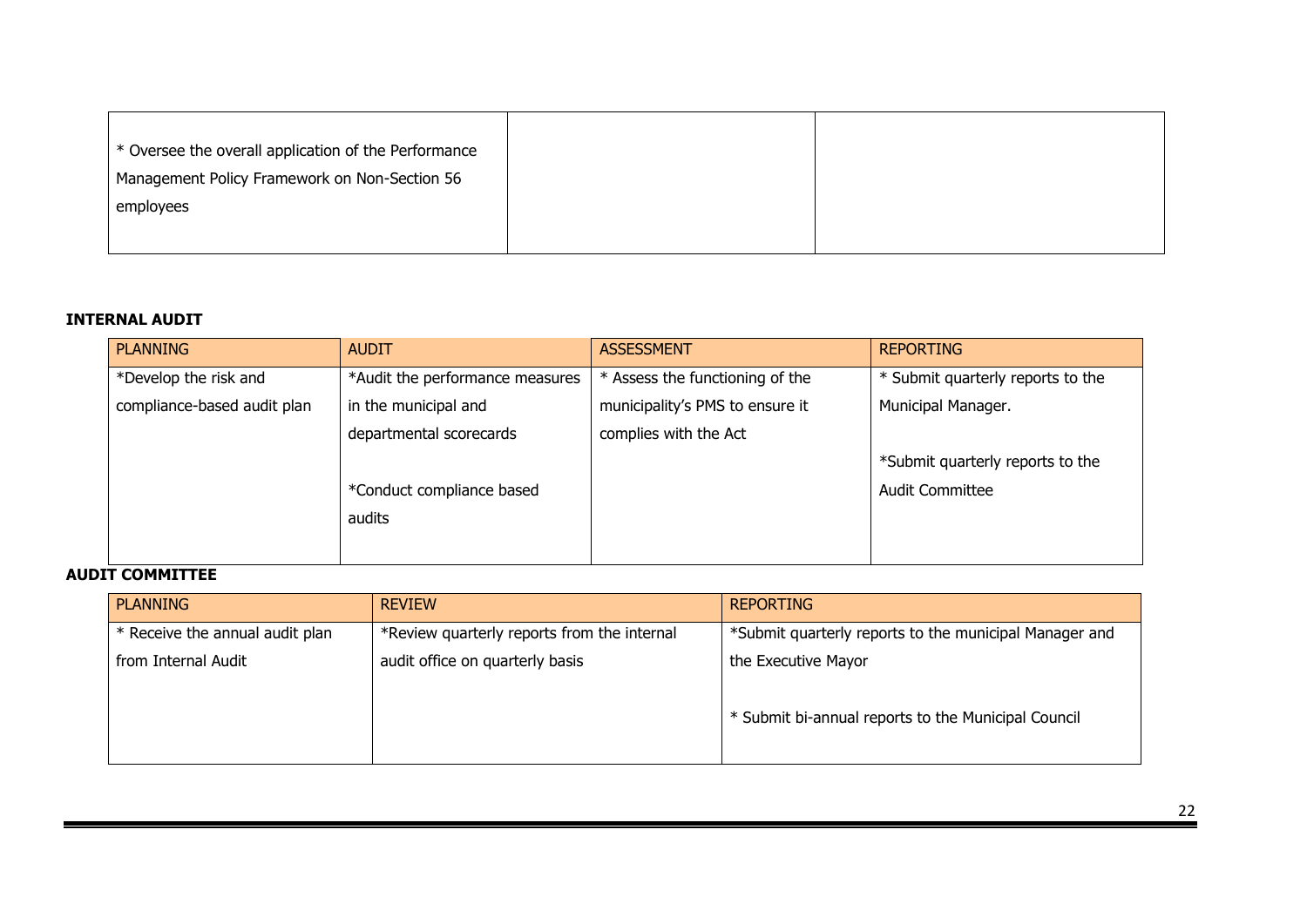| * Oversee the overall application of the Performance |  |
|------------------------------------------------------|--|
| Management Policy Framework on Non-Section 56        |  |
| employees                                            |  |
|                                                      |  |

#### **INTERNAL AUDIT**

| <b>PLANNING</b>             | <b>AUDIT</b>                    | <b>ASSESSMENT</b>               | <b>REPORTING</b>                  |
|-----------------------------|---------------------------------|---------------------------------|-----------------------------------|
| *Develop the risk and       | *Audit the performance measures | * Assess the functioning of the | * Submit quarterly reports to the |
| compliance-based audit plan | in the municipal and            | municipality's PMS to ensure it | Municipal Manager.                |
|                             | departmental scorecards         | complies with the Act           |                                   |
|                             |                                 |                                 | *Submit quarterly reports to the  |
|                             | *Conduct compliance based       |                                 | <b>Audit Committee</b>            |
|                             | audits                          |                                 |                                   |
|                             |                                 |                                 |                                   |

#### **AUDIT COMMITTEE**

| <b>PLANNING</b>                 | <b>REVIEW</b>                               | <b>REPORTING</b>                                       |
|---------------------------------|---------------------------------------------|--------------------------------------------------------|
| * Receive the annual audit plan | *Review quarterly reports from the internal | *Submit quarterly reports to the municipal Manager and |
| from Internal Audit             | audit office on quarterly basis             | the Executive Mayor                                    |
|                                 |                                             | * Submit bi-annual reports to the Municipal Council    |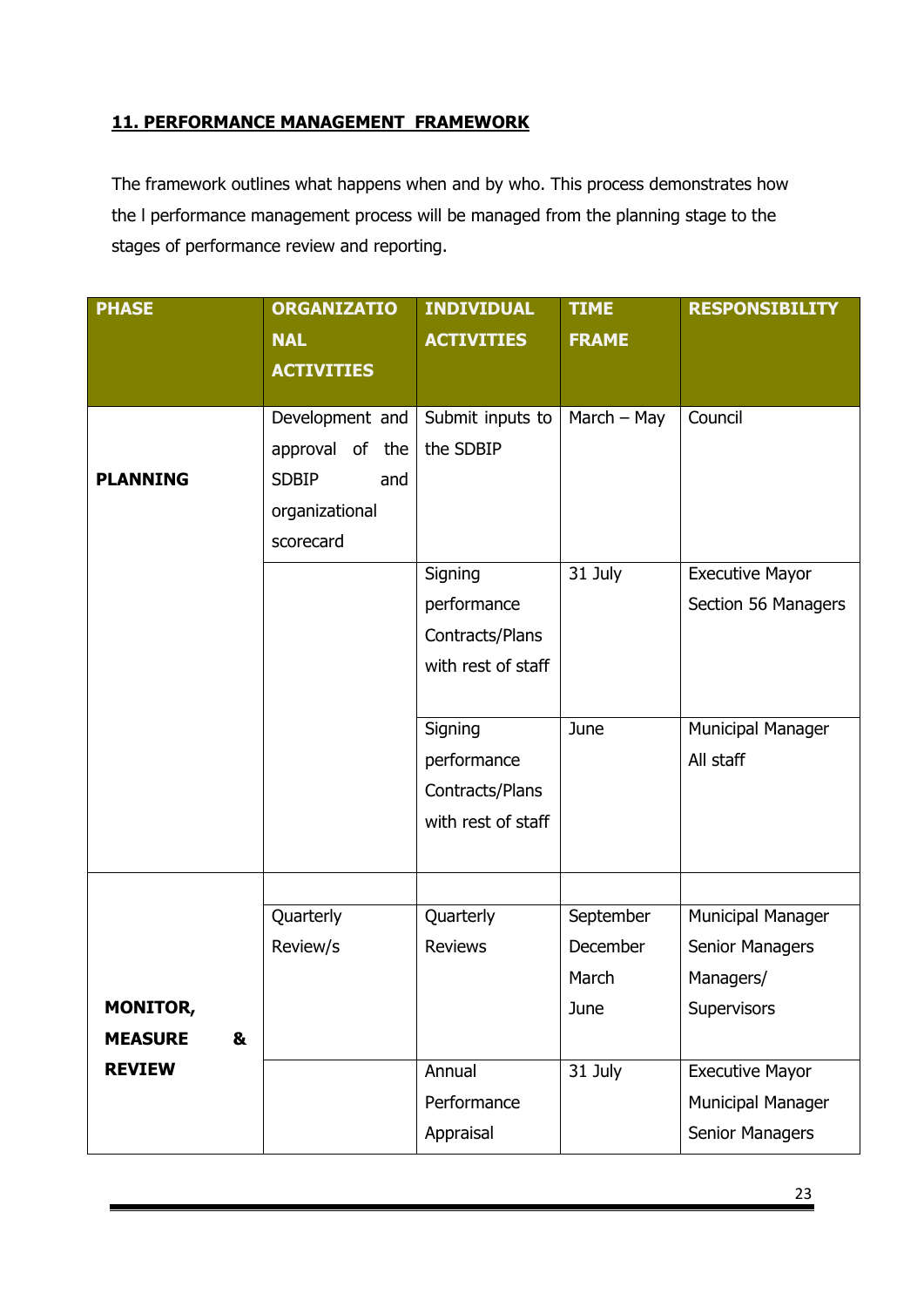## **11. PERFORMANCE MANAGEMENT FRAMEWORK**

The framework outlines what happens when and by who. This process demonstrates how the l performance management process will be managed from the planning stage to the stages of performance review and reporting.

| <b>PHASE</b>        | <b>ORGANIZATIO</b>  | <b>INDIVIDUAL</b>  | <b>TIME</b>   | <b>RESPONSIBILITY</b>  |
|---------------------|---------------------|--------------------|---------------|------------------------|
|                     | <b>NAL</b>          | <b>ACTIVITIES</b>  | <b>FRAME</b>  |                        |
|                     | <b>ACTIVITIES</b>   |                    |               |                        |
|                     | Development and     | Submit inputs to   | March $-$ May | Council                |
|                     | approval of<br>the  | the SDBIP          |               |                        |
| <b>PLANNING</b>     | <b>SDBIP</b><br>and |                    |               |                        |
|                     | organizational      |                    |               |                        |
|                     | scorecard           |                    |               |                        |
|                     |                     | Signing            | 31 July       | <b>Executive Mayor</b> |
|                     |                     | performance        |               | Section 56 Managers    |
|                     |                     | Contracts/Plans    |               |                        |
|                     |                     | with rest of staff |               |                        |
|                     |                     |                    |               |                        |
|                     |                     | Signing            | June          | Municipal Manager      |
|                     |                     | performance        |               | All staff              |
|                     |                     | Contracts/Plans    |               |                        |
|                     |                     | with rest of staff |               |                        |
|                     |                     |                    |               |                        |
|                     | Quarterly           | Quarterly          | September     | Municipal Manager      |
|                     | Review/s            | <b>Reviews</b>     | December      | <b>Senior Managers</b> |
|                     |                     |                    | March         | Managers/              |
| MONITOR,            |                     |                    | June          | Supervisors            |
| &<br><b>MEASURE</b> |                     |                    |               |                        |
| <b>REVIEW</b>       |                     | Annual             | 31 July       | <b>Executive Mayor</b> |
|                     |                     | Performance        |               | Municipal Manager      |
|                     |                     | Appraisal          |               | <b>Senior Managers</b> |
|                     |                     |                    |               |                        |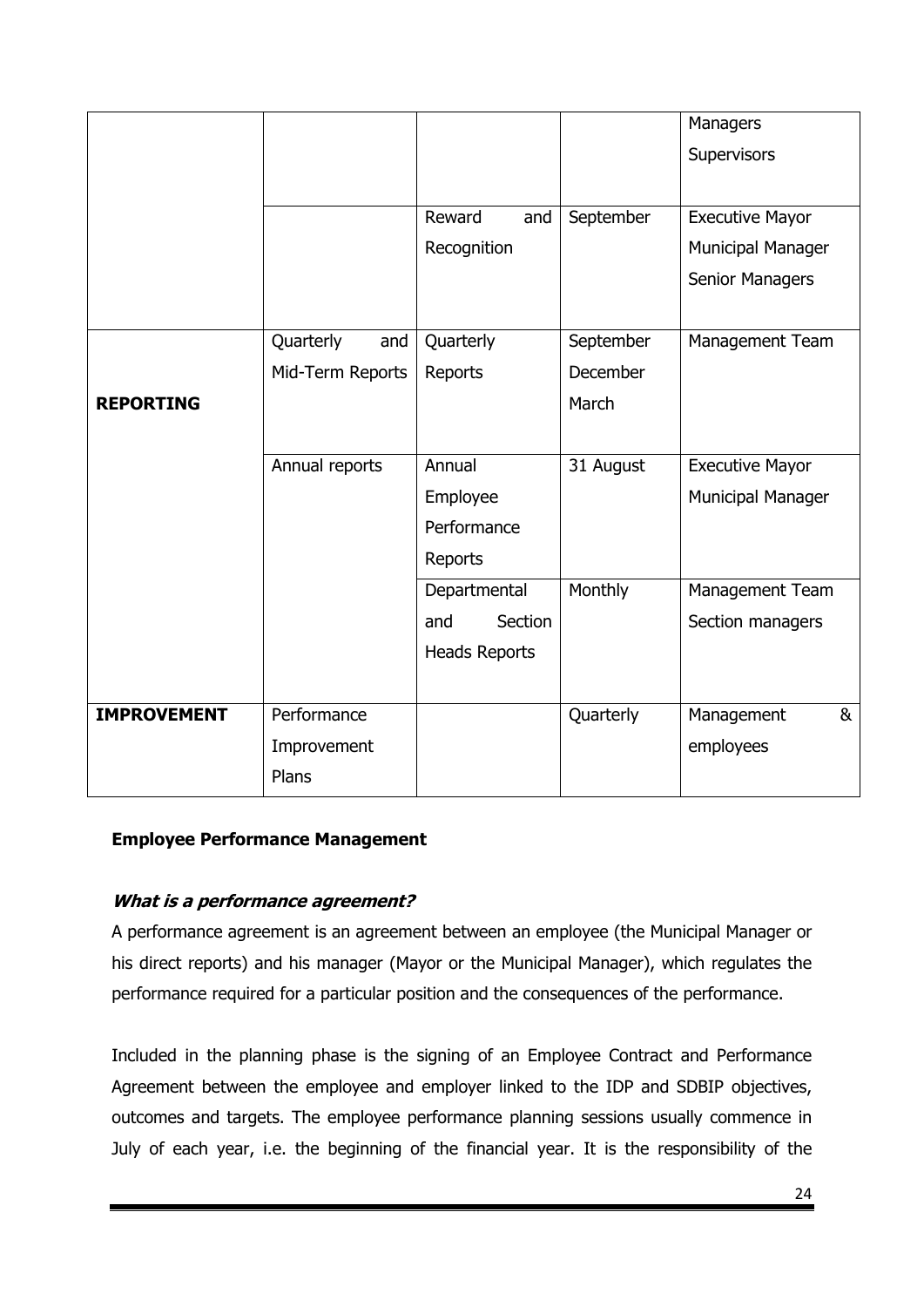|                    |                  |                      |           | Managers                 |
|--------------------|------------------|----------------------|-----------|--------------------------|
|                    |                  |                      |           | Supervisors              |
|                    |                  |                      |           |                          |
|                    |                  | Reward<br>and        | September | <b>Executive Mayor</b>   |
|                    |                  | Recognition          |           | <b>Municipal Manager</b> |
|                    |                  |                      |           | Senior Managers          |
|                    |                  |                      |           |                          |
|                    | Quarterly<br>and | Quarterly            | September | Management Team          |
|                    | Mid-Term Reports | Reports              | December  |                          |
| <b>REPORTING</b>   |                  |                      | March     |                          |
|                    |                  |                      |           |                          |
|                    | Annual reports   | Annual               | 31 August | <b>Executive Mayor</b>   |
|                    |                  | Employee             |           | Municipal Manager        |
|                    |                  | Performance          |           |                          |
|                    |                  | Reports              |           |                          |
|                    |                  | Departmental         | Monthly   | Management Team          |
|                    |                  | Section<br>and       |           | Section managers         |
|                    |                  | <b>Heads Reports</b> |           |                          |
|                    |                  |                      |           |                          |
| <b>IMPROVEMENT</b> | Performance      |                      | Quarterly | Management<br>&          |
|                    | Improvement      |                      |           | employees                |
|                    | Plans            |                      |           |                          |

#### **Employee Performance Management**

#### **What is a performance agreement?**

A performance agreement is an agreement between an employee (the Municipal Manager or his direct reports) and his manager (Mayor or the Municipal Manager), which regulates the performance required for a particular position and the consequences of the performance.

Included in the planning phase is the signing of an Employee Contract and Performance Agreement between the employee and employer linked to the IDP and SDBIP objectives, outcomes and targets. The employee performance planning sessions usually commence in July of each year, i.e. the beginning of the financial year. It is the responsibility of the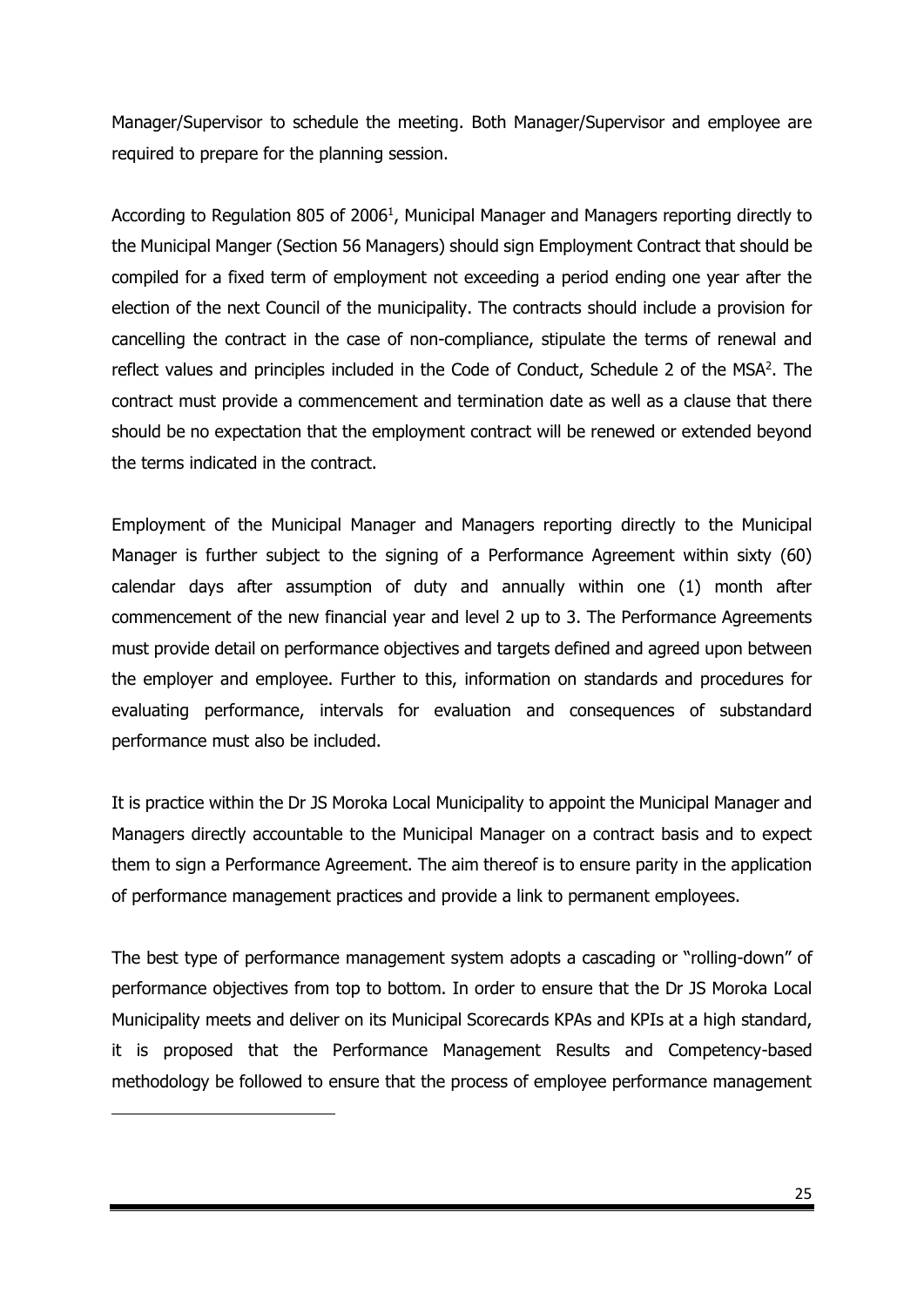Manager/Supervisor to schedule the meeting. Both Manager/Supervisor and employee are required to prepare for the planning session.

According to Regulation 805 of 2006<sup>1</sup>, Municipal Manager and Managers reporting directly to the Municipal Manger (Section 56 Managers) should sign Employment Contract that should be compiled for a fixed term of employment not exceeding a period ending one year after the election of the next Council of the municipality. The contracts should include a provision for cancelling the contract in the case of non-compliance, stipulate the terms of renewal and reflect values and principles included in the Code of Conduct, Schedule 2 of the MSA<sup>2</sup>. The contract must provide a commencement and termination date as well as a clause that there should be no expectation that the employment contract will be renewed or extended beyond the terms indicated in the contract.

Employment of the Municipal Manager and Managers reporting directly to the Municipal Manager is further subject to the signing of a Performance Agreement within sixty (60) calendar days after assumption of duty and annually within one (1) month after commencement of the new financial year and level 2 up to 3. The Performance Agreements must provide detail on performance objectives and targets defined and agreed upon between the employer and employee. Further to this, information on standards and procedures for evaluating performance, intervals for evaluation and consequences of substandard performance must also be included.

It is practice within the Dr JS Moroka Local Municipality to appoint the Municipal Manager and Managers directly accountable to the Municipal Manager on a contract basis and to expect them to sign a Performance Agreement. The aim thereof is to ensure parity in the application of performance management practices and provide a link to permanent employees.

The best type of performance management system adopts a cascading or "rolling-down" of performance objectives from top to bottom. In order to ensure that the Dr JS Moroka Local Municipality meets and deliver on its Municipal Scorecards KPAs and KPIs at a high standard, it is proposed that the Performance Management Results and Competency-based methodology be followed to ensure that the process of employee performance management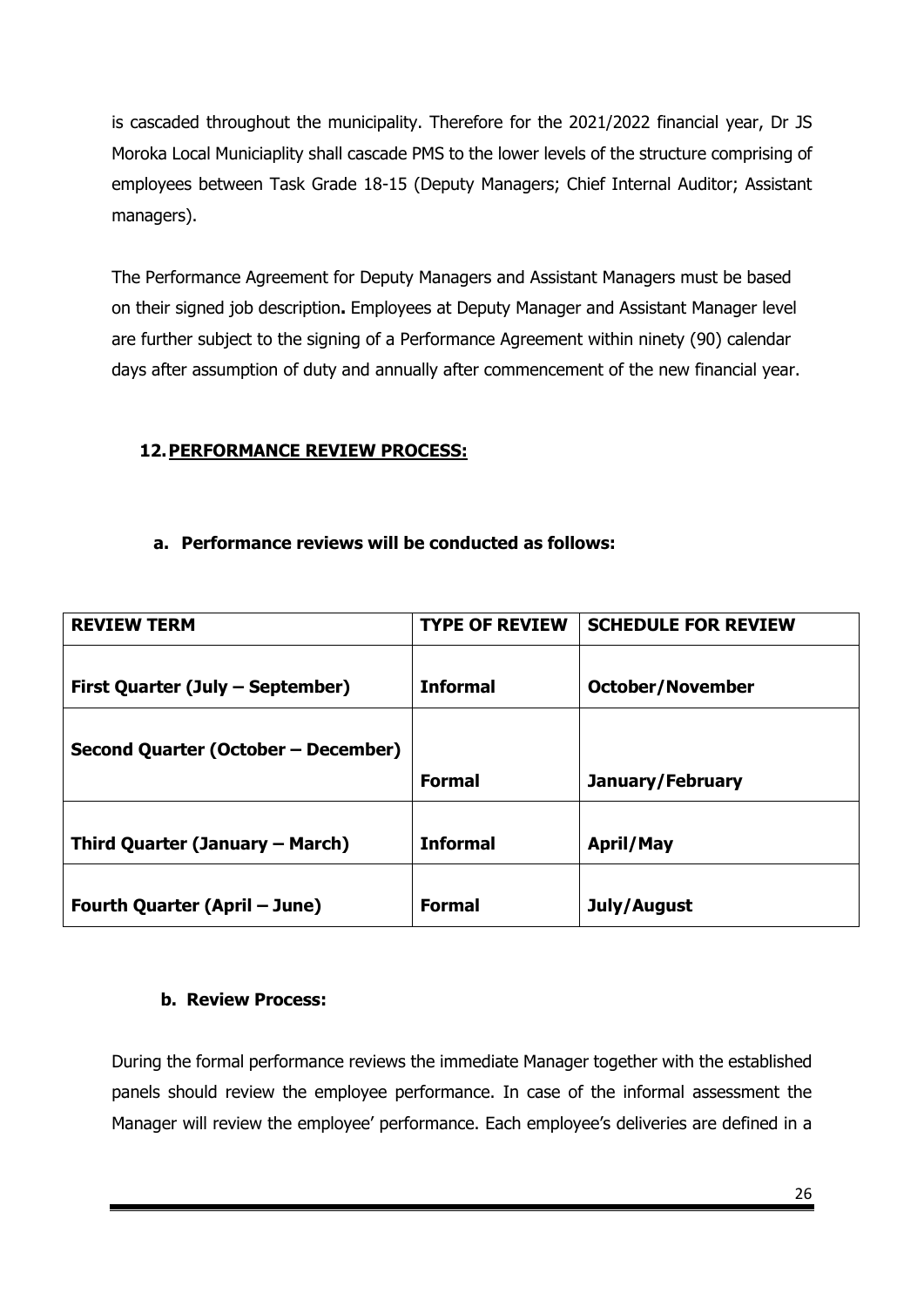is cascaded throughout the municipality. Therefore for the 2021/2022 financial year, Dr JS Moroka Local Municiaplity shall cascade PMS to the lower levels of the structure comprising of employees between Task Grade 18-15 (Deputy Managers; Chief Internal Auditor; Assistant managers).

The Performance Agreement for Deputy Managers and Assistant Managers must be based on their signed job description**.** Employees at Deputy Manager and Assistant Manager level are further subject to the signing of a Performance Agreement within ninety (90) calendar days after assumption of duty and annually after commencement of the new financial year.

## **12.PERFORMANCE REVIEW PROCESS:**

#### **a. Performance reviews will be conducted as follows:**

| <b>REVIEW TERM</b>                  | <b>TYPE OF REVIEW</b> | <b>SCHEDULE FOR REVIEW</b> |
|-------------------------------------|-----------------------|----------------------------|
|                                     |                       |                            |
| First Quarter (July – September)    | <b>Informal</b>       | <b>October/November</b>    |
|                                     |                       |                            |
| Second Quarter (October - December) |                       |                            |
|                                     | <b>Formal</b>         | January/February           |
|                                     |                       |                            |
| Third Quarter (January – March)     | <b>Informal</b>       | <b>April/May</b>           |
|                                     |                       |                            |
| Fourth Quarter (April – June)       | <b>Formal</b>         | July/August                |

#### **b. Review Process:**

During the formal performance reviews the immediate Manager together with the established panels should review the employee performance. In case of the informal assessment the Manager will review the employee' performance. Each employee's deliveries are defined in a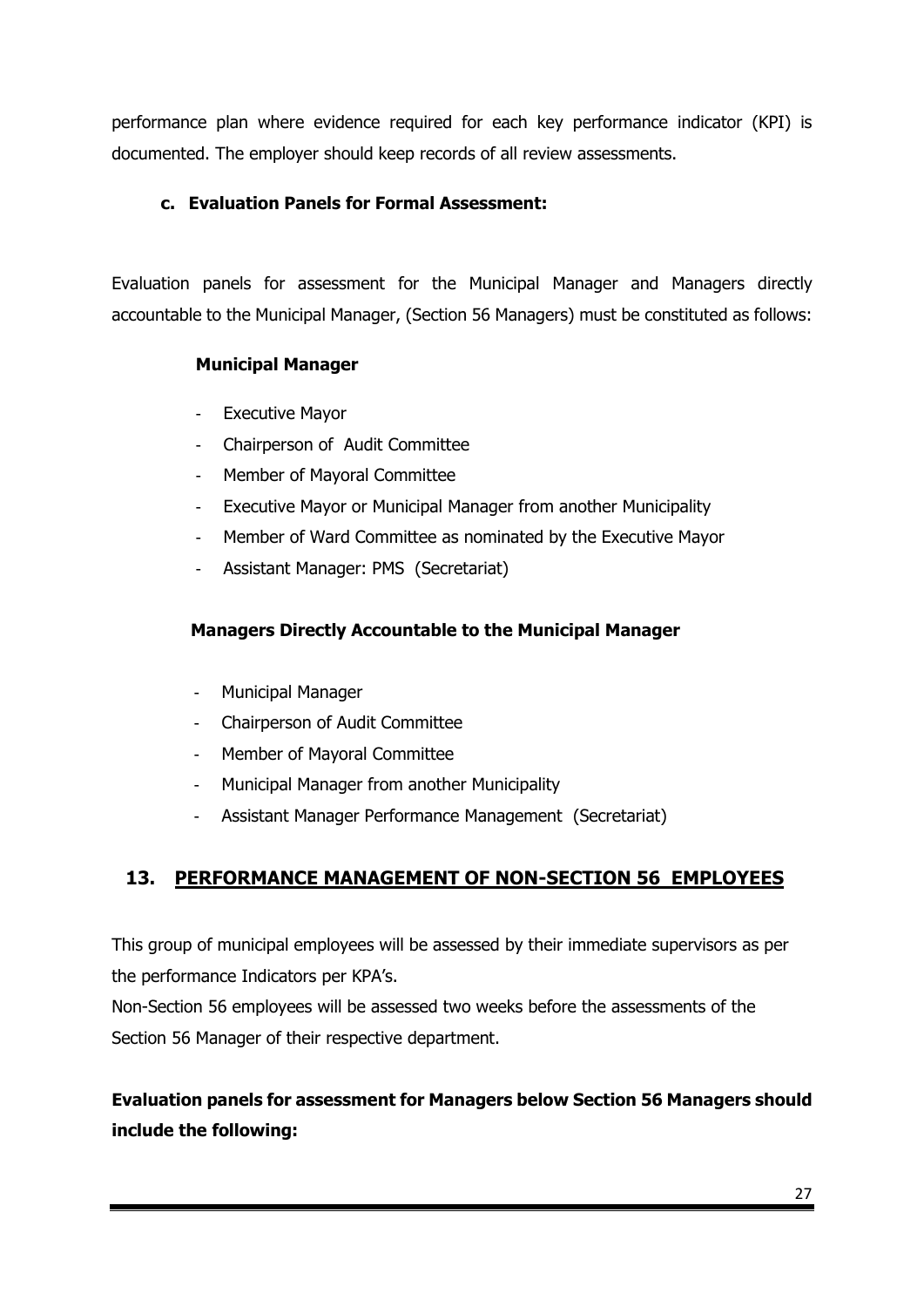performance plan where evidence required for each key performance indicator (KPI) is documented. The employer should keep records of all review assessments.

## **c. Evaluation Panels for Formal Assessment:**

Evaluation panels for assessment for the Municipal Manager and Managers directly accountable to the Municipal Manager, (Section 56 Managers) must be constituted as follows:

## **Municipal Manager**

- **Executive Mayor**
- Chairperson of Audit Committee
- Member of Mayoral Committee
- Executive Mayor or Municipal Manager from another Municipality
- Member of Ward Committee as nominated by the Executive Mayor
- Assistant Manager: PMS (Secretariat)

## **Managers Directly Accountable to the Municipal Manager**

- Municipal Manager
- Chairperson of Audit Committee
- Member of Mayoral Committee
- Municipal Manager from another Municipality
- Assistant Manager Performance Management (Secretariat)

# **13. PERFORMANCE MANAGEMENT OF NON-SECTION 56 EMPLOYEES**

This group of municipal employees will be assessed by their immediate supervisors as per the performance Indicators per KPA's.

Non-Section 56 employees will be assessed two weeks before the assessments of the Section 56 Manager of their respective department.

# **Evaluation panels for assessment for Managers below Section 56 Managers should include the following:**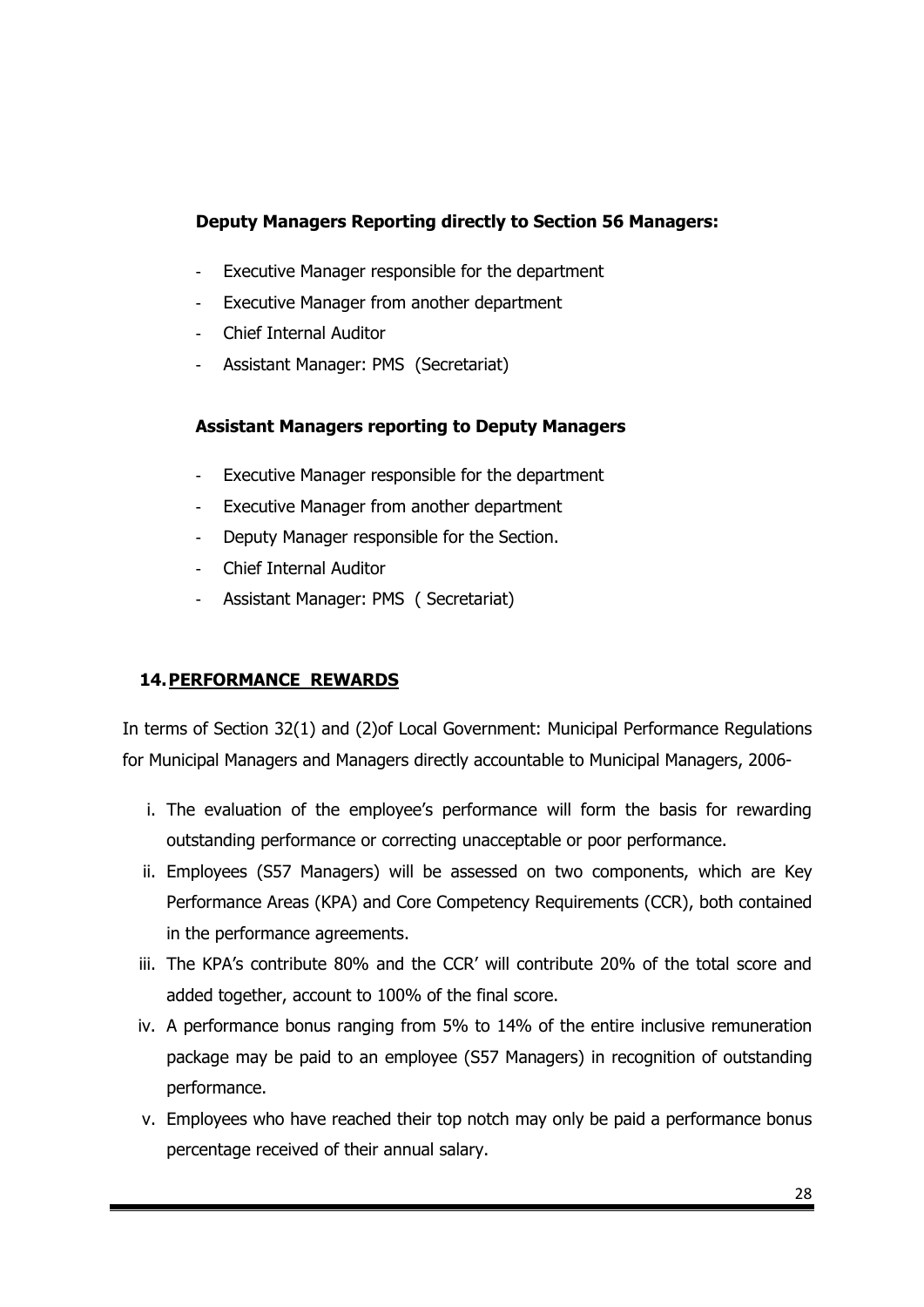## **Deputy Managers Reporting directly to Section 56 Managers:**

- Executive Manager responsible for the department
- Executive Manager from another department
- Chief Internal Auditor
- Assistant Manager: PMS (Secretariat)

## **Assistant Managers reporting to Deputy Managers**

- Executive Manager responsible for the department
- Executive Manager from another department
- Deputy Manager responsible for the Section.
- Chief Internal Auditor
- Assistant Manager: PMS ( Secretariat)

## **14.PERFORMANCE REWARDS**

In terms of Section 32(1) and (2)of Local Government: Municipal Performance Regulations for Municipal Managers and Managers directly accountable to Municipal Managers, 2006-

- i. The evaluation of the employee's performance will form the basis for rewarding outstanding performance or correcting unacceptable or poor performance.
- ii. Employees (S57 Managers) will be assessed on two components, which are Key Performance Areas (KPA) and Core Competency Requirements (CCR), both contained in the performance agreements.
- iii. The KPA's contribute 80% and the CCR' will contribute 20% of the total score and added together, account to 100% of the final score.
- iv. A performance bonus ranging from 5% to 14% of the entire inclusive remuneration package may be paid to an employee (S57 Managers) in recognition of outstanding performance.
- v. Employees who have reached their top notch may only be paid a performance bonus percentage received of their annual salary.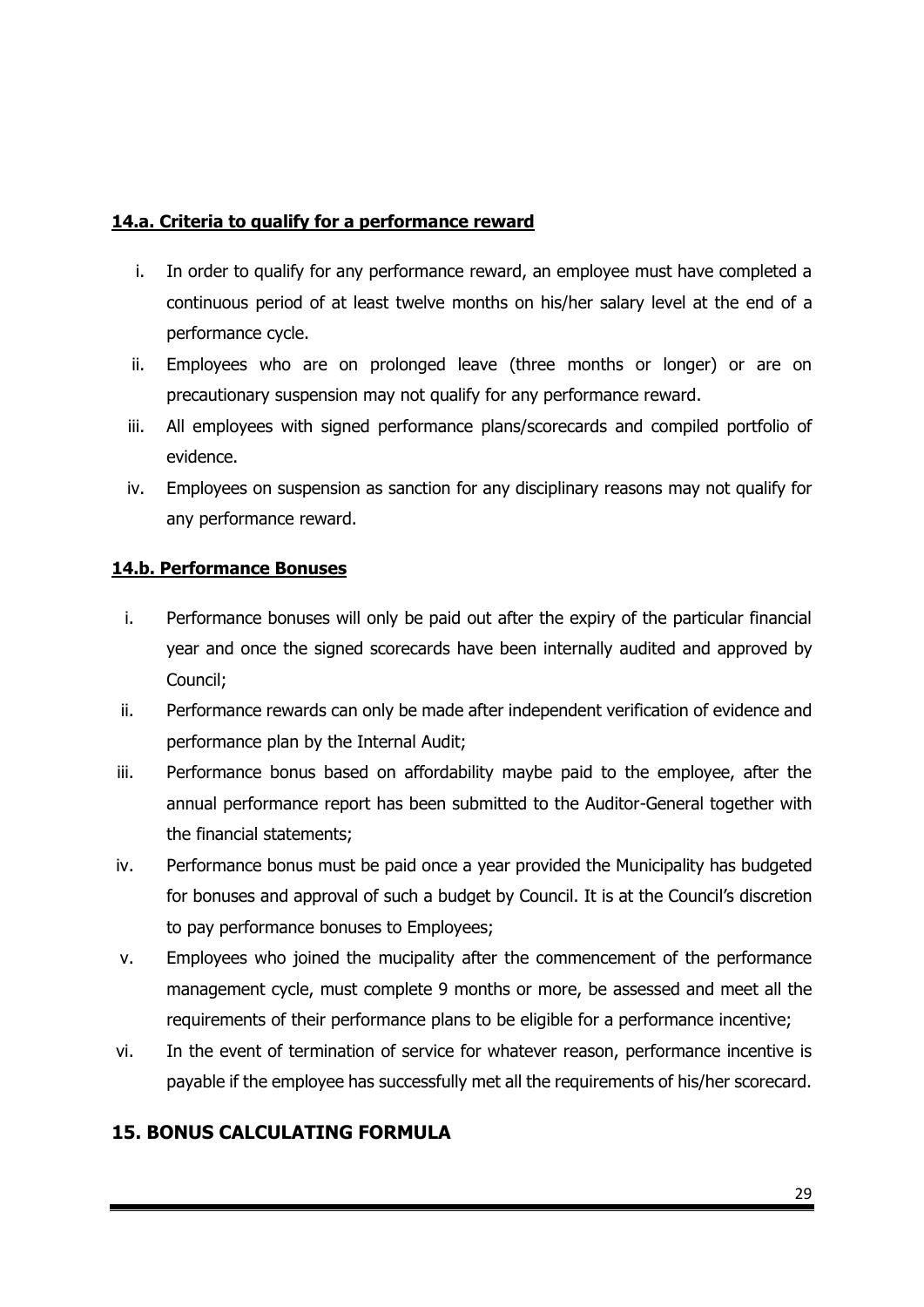## **14.a. Criteria to qualify for a performance reward**

- i. In order to qualify for any performance reward, an employee must have completed a continuous period of at least twelve months on his/her salary level at the end of a performance cycle.
- ii. Employees who are on prolonged leave (three months or longer) or are on precautionary suspension may not qualify for any performance reward.
- iii. All employees with signed performance plans/scorecards and compiled portfolio of evidence.
- iv. Employees on suspension as sanction for any disciplinary reasons may not qualify for any performance reward.

## **14.b. Performance Bonuses**

- i. Performance bonuses will only be paid out after the expiry of the particular financial year and once the signed scorecards have been internally audited and approved by Council;
- ii. Performance rewards can only be made after independent verification of evidence and performance plan by the Internal Audit;
- iii. Performance bonus based on affordability maybe paid to the employee, after the annual performance report has been submitted to the Auditor-General together with the financial statements;
- iv. Performance bonus must be paid once a year provided the Municipality has budgeted for bonuses and approval of such a budget by Council. It is at the Council's discretion to pay performance bonuses to Employees;
- v. Employees who joined the mucipality after the commencement of the performance management cycle, must complete 9 months or more, be assessed and meet all the requirements of their performance plans to be eligible for a performance incentive;
- vi. In the event of termination of service for whatever reason, performance incentive is payable if the employee has successfully met all the requirements of his/her scorecard.

# **15. BONUS CALCULATING FORMULA**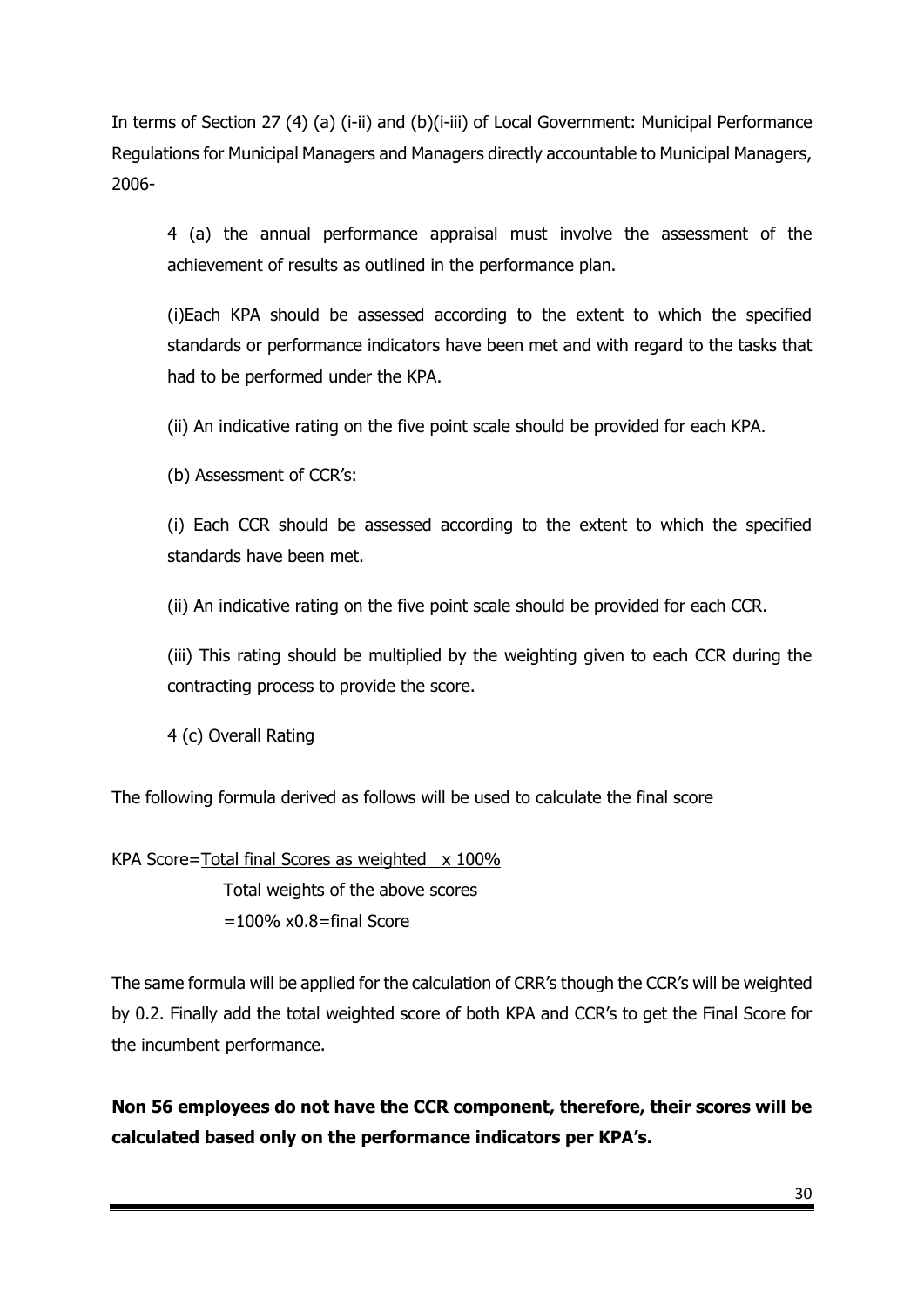In terms of Section 27 (4) (a) (i-ii) and (b)(i-iii) of Local Government: Municipal Performance Regulations for Municipal Managers and Managers directly accountable to Municipal Managers, 2006-

4 (a) the annual performance appraisal must involve the assessment of the achievement of results as outlined in the performance plan.

(i)Each KPA should be assessed according to the extent to which the specified standards or performance indicators have been met and with regard to the tasks that had to be performed under the KPA.

(ii) An indicative rating on the five point scale should be provided for each KPA.

(b) Assessment of CCR's:

(i) Each CCR should be assessed according to the extent to which the specified standards have been met.

(ii) An indicative rating on the five point scale should be provided for each CCR.

(iii) This rating should be multiplied by the weighting given to each CCR during the contracting process to provide the score.

4 (c) Overall Rating

The following formula derived as follows will be used to calculate the final score

KPA Score=Total final Scores as weighted  $\times$  100% Total weights of the above scores  $=100\%$  x0.8=final Score

The same formula will be applied for the calculation of CRR's though the CCR's will be weighted by 0.2. Finally add the total weighted score of both KPA and CCR's to get the Final Score for the incumbent performance.

**Non 56 employees do not have the CCR component, therefore, their scores will be calculated based only on the performance indicators per KPA's.**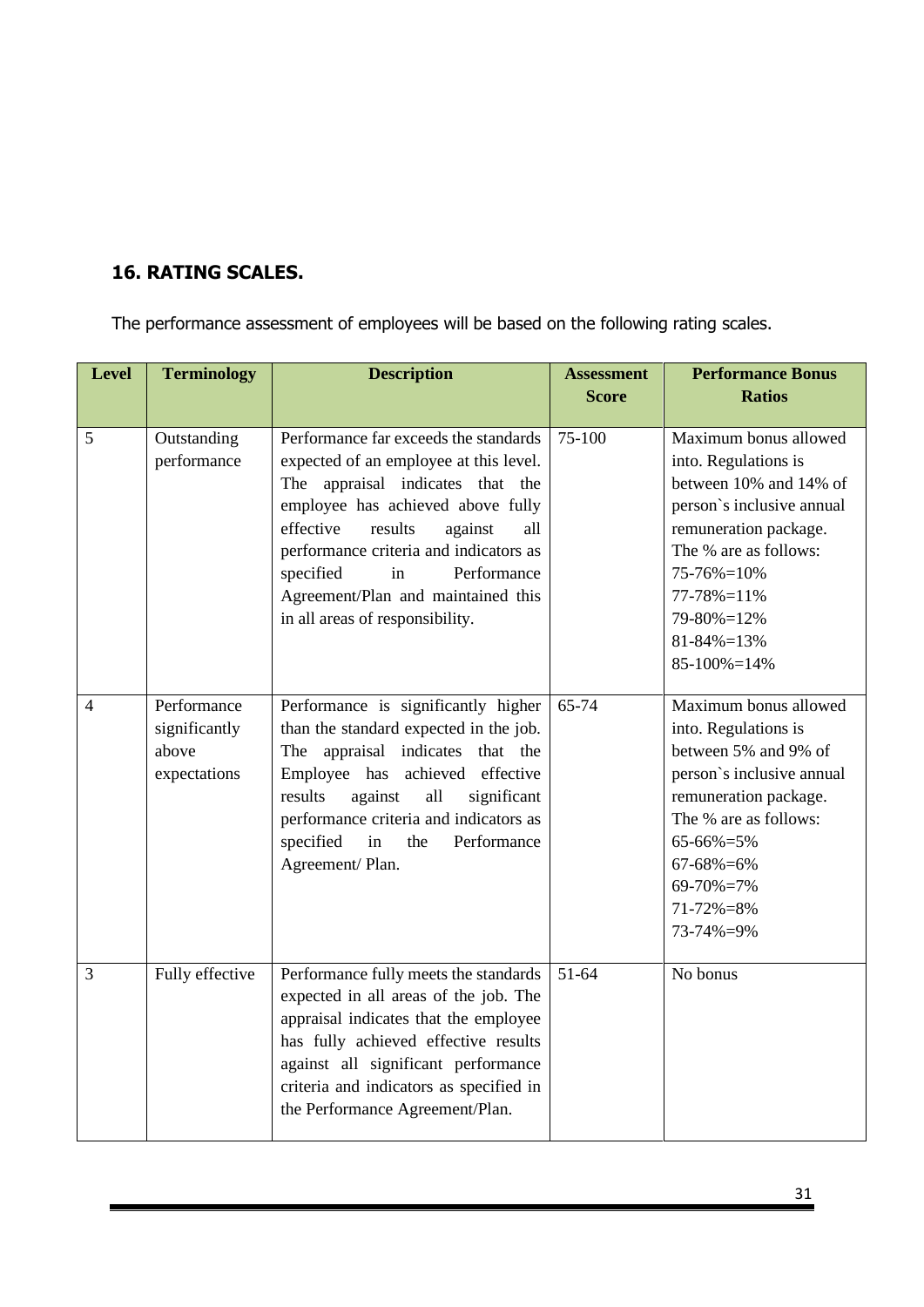## **16. RATING SCALES.**

The performance assessment of employees will be based on the following rating scales.

| <b>Level</b>   | <b>Terminology</b>                                    | <b>Description</b>                                                                                                                                                                                                                                                                                                                                      | <b>Assessment</b><br><b>Score</b> | <b>Performance Bonus</b><br><b>Ratios</b>                                                                                                                                                                                                           |
|----------------|-------------------------------------------------------|---------------------------------------------------------------------------------------------------------------------------------------------------------------------------------------------------------------------------------------------------------------------------------------------------------------------------------------------------------|-----------------------------------|-----------------------------------------------------------------------------------------------------------------------------------------------------------------------------------------------------------------------------------------------------|
| 5              | Outstanding<br>performance                            | Performance far exceeds the standards<br>expected of an employee at this level.<br>The appraisal indicates that the<br>employee has achieved above fully<br>effective<br>results<br>against<br>all<br>performance criteria and indicators as<br>specified<br>Performance<br>in<br>Agreement/Plan and maintained this<br>in all areas of responsibility. | 75-100                            | Maximum bonus allowed<br>into. Regulations is<br>between 10% and 14% of<br>person's inclusive annual<br>remuneration package.<br>The % are as follows:<br>$75 - 76\% = 10\%$<br>77-78%=11%<br>79-80%=12%<br>$81 - 84\% = 13\%$<br>$85-100\% = 14\%$ |
| $\overline{4}$ | Performance<br>significantly<br>above<br>expectations | Performance is significantly higher<br>than the standard expected in the job.<br>The appraisal indicates that the<br>Employee has achieved effective<br>against<br>results<br>all<br>significant<br>performance criteria and indicators as<br>specified<br>Performance<br>in<br>the<br>Agreement/Plan.                                                  | 65-74                             | Maximum bonus allowed<br>into. Regulations is<br>between 5% and 9% of<br>person's inclusive annual<br>remuneration package.<br>The % are as follows:<br>65-66%=5%<br>67-68%=6%<br>69-70%=7%<br>71-72%=8%<br>73-74%=9%                               |
| 3              | Fully effective                                       | Performance fully meets the standards<br>expected in all areas of the job. The<br>appraisal indicates that the employee<br>has fully achieved effective results<br>against all significant performance<br>criteria and indicators as specified in<br>the Performance Agreement/Plan.                                                                    | $51-64$                           | No bonus                                                                                                                                                                                                                                            |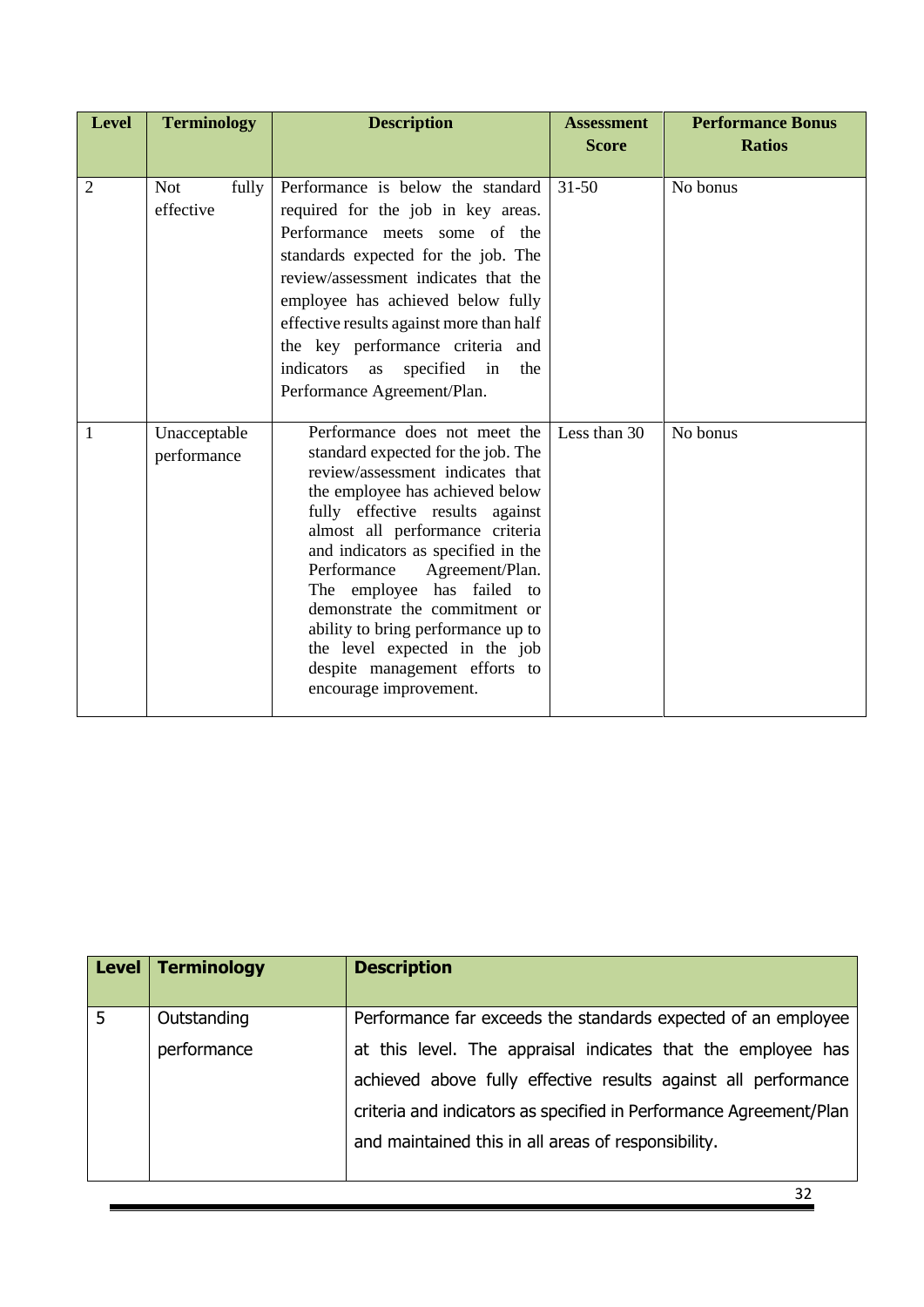| <b>Level</b>   | <b>Terminology</b>  | <b>Description</b>                                                  |              | <b>Performance Bonus</b> |
|----------------|---------------------|---------------------------------------------------------------------|--------------|--------------------------|
|                |                     |                                                                     | <b>Score</b> | <b>Ratios</b>            |
|                |                     |                                                                     |              |                          |
| $\overline{2}$ | <b>Not</b><br>fully | Performance is below the standard                                   | $31 - 50$    | No bonus                 |
|                | effective           | required for the job in key areas.                                  |              |                          |
|                |                     | Performance meets some of the                                       |              |                          |
|                |                     | standards expected for the job. The                                 |              |                          |
|                |                     | review/assessment indicates that the                                |              |                          |
|                |                     | employee has achieved below fully                                   |              |                          |
|                |                     | effective results against more than half                            |              |                          |
|                |                     | the key performance criteria and                                    |              |                          |
|                |                     | indicators<br>specified in<br>the<br>as                             |              |                          |
|                |                     | Performance Agreement/Plan.                                         |              |                          |
|                |                     |                                                                     | Less than 30 |                          |
| 1              | Unacceptable        | Performance does not meet the<br>standard expected for the job. The |              | No bonus                 |
|                | performance         | review/assessment indicates that                                    |              |                          |
|                |                     | the employee has achieved below                                     |              |                          |
|                |                     | fully effective results against                                     |              |                          |
|                |                     | almost all performance criteria                                     |              |                          |
|                |                     | and indicators as specified in the                                  |              |                          |
|                |                     | Performance<br>Agreement/Plan.                                      |              |                          |
|                |                     | The employee has failed to<br>demonstrate the commitment or         |              |                          |
|                |                     | ability to bring performance up to                                  |              |                          |
|                |                     | the level expected in the job                                       |              |                          |
|                |                     | despite management efforts to                                       |              |                          |
|                |                     | encourage improvement.                                              |              |                          |
|                |                     |                                                                     |              |                          |

| Level | <b>Terminology</b> | <b>Description</b>                                                 |
|-------|--------------------|--------------------------------------------------------------------|
| 5     | Outstanding        | Performance far exceeds the standards expected of an employee      |
|       | performance        | at this level. The appraisal indicates that the employee has       |
|       |                    | achieved above fully effective results against all performance     |
|       |                    | criteria and indicators as specified in Performance Agreement/Plan |
|       |                    | and maintained this in all areas of responsibility.                |
|       |                    |                                                                    |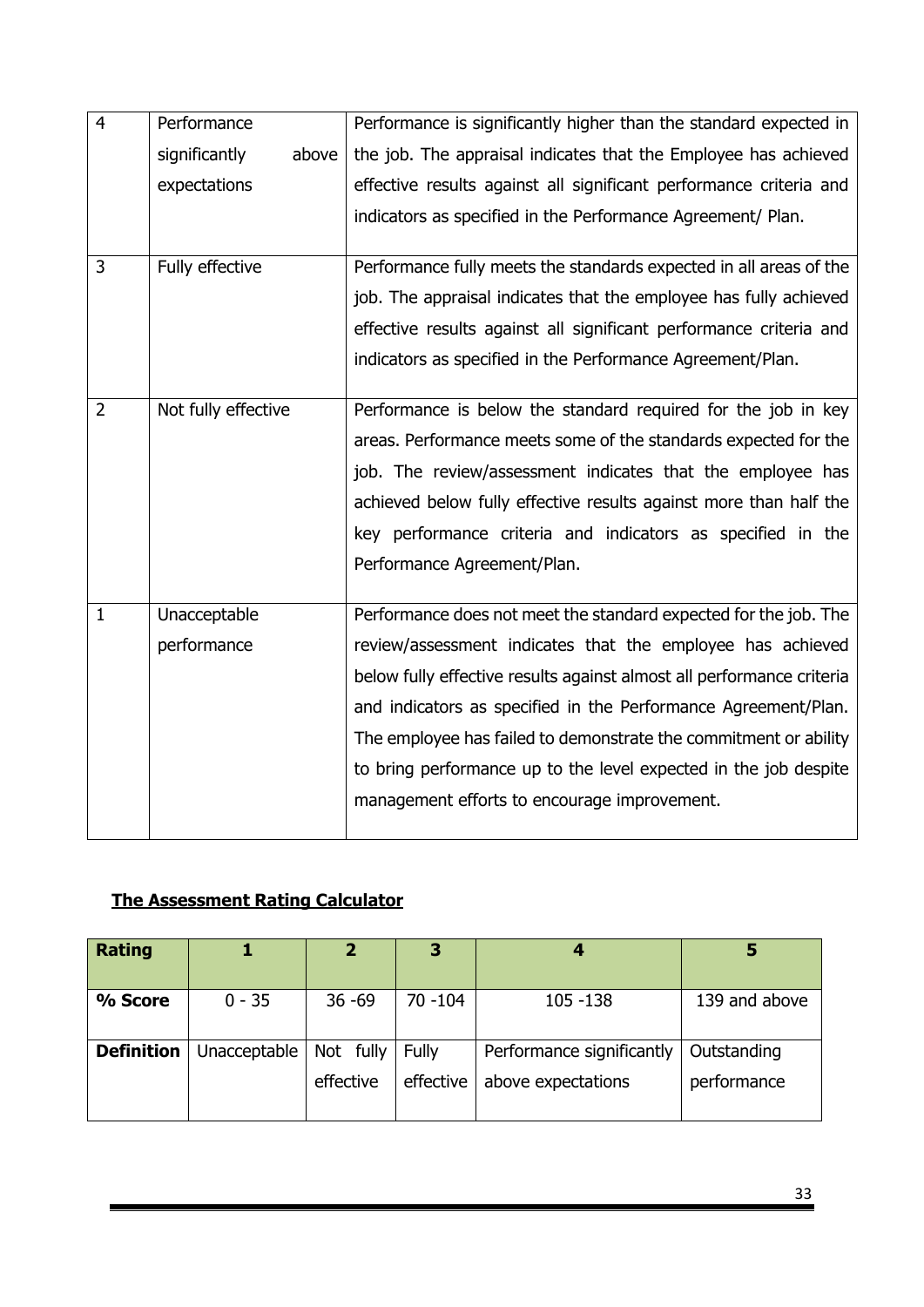| $\overline{4}$ | Performance            | Performance is significantly higher than the standard expected in     |
|----------------|------------------------|-----------------------------------------------------------------------|
|                | significantly<br>above | the job. The appraisal indicates that the Employee has achieved       |
|                | expectations           | effective results against all significant performance criteria and    |
|                |                        | indicators as specified in the Performance Agreement/ Plan.           |
|                |                        |                                                                       |
| 3              | Fully effective        | Performance fully meets the standards expected in all areas of the    |
|                |                        | job. The appraisal indicates that the employee has fully achieved     |
|                |                        | effective results against all significant performance criteria and    |
|                |                        | indicators as specified in the Performance Agreement/Plan.            |
|                |                        |                                                                       |
| $\overline{2}$ | Not fully effective    | Performance is below the standard required for the job in key         |
|                |                        | areas. Performance meets some of the standards expected for the       |
|                |                        | job. The review/assessment indicates that the employee has            |
|                |                        | achieved below fully effective results against more than half the     |
|                |                        | key performance criteria and indicators as specified in the           |
|                |                        | Performance Agreement/Plan.                                           |
|                |                        |                                                                       |
| $\mathbf{1}$   | Unacceptable           | Performance does not meet the standard expected for the job. The      |
|                | performance            | review/assessment indicates that the employee has achieved            |
|                |                        | below fully effective results against almost all performance criteria |
|                |                        | and indicators as specified in the Performance Agreement/Plan.        |
|                |                        | The employee has failed to demonstrate the commitment or ability      |
|                |                        | to bring performance up to the level expected in the job despite      |
|                |                        | management efforts to encourage improvement.                          |
|                |                        |                                                                       |

# **The Assessment Rating Calculator**

| <b>Rating</b>     |              |                        |                    |                                                 |                            |
|-------------------|--------------|------------------------|--------------------|-------------------------------------------------|----------------------------|
| % Score           | $0 - 35$     | $36 - 69$              | $70 - 104$         | 105 - 138                                       | 139 and above              |
| <b>Definition</b> | Unacceptable | Not fully<br>effective | Fully<br>effective | Performance significantly<br>above expectations | Outstanding<br>performance |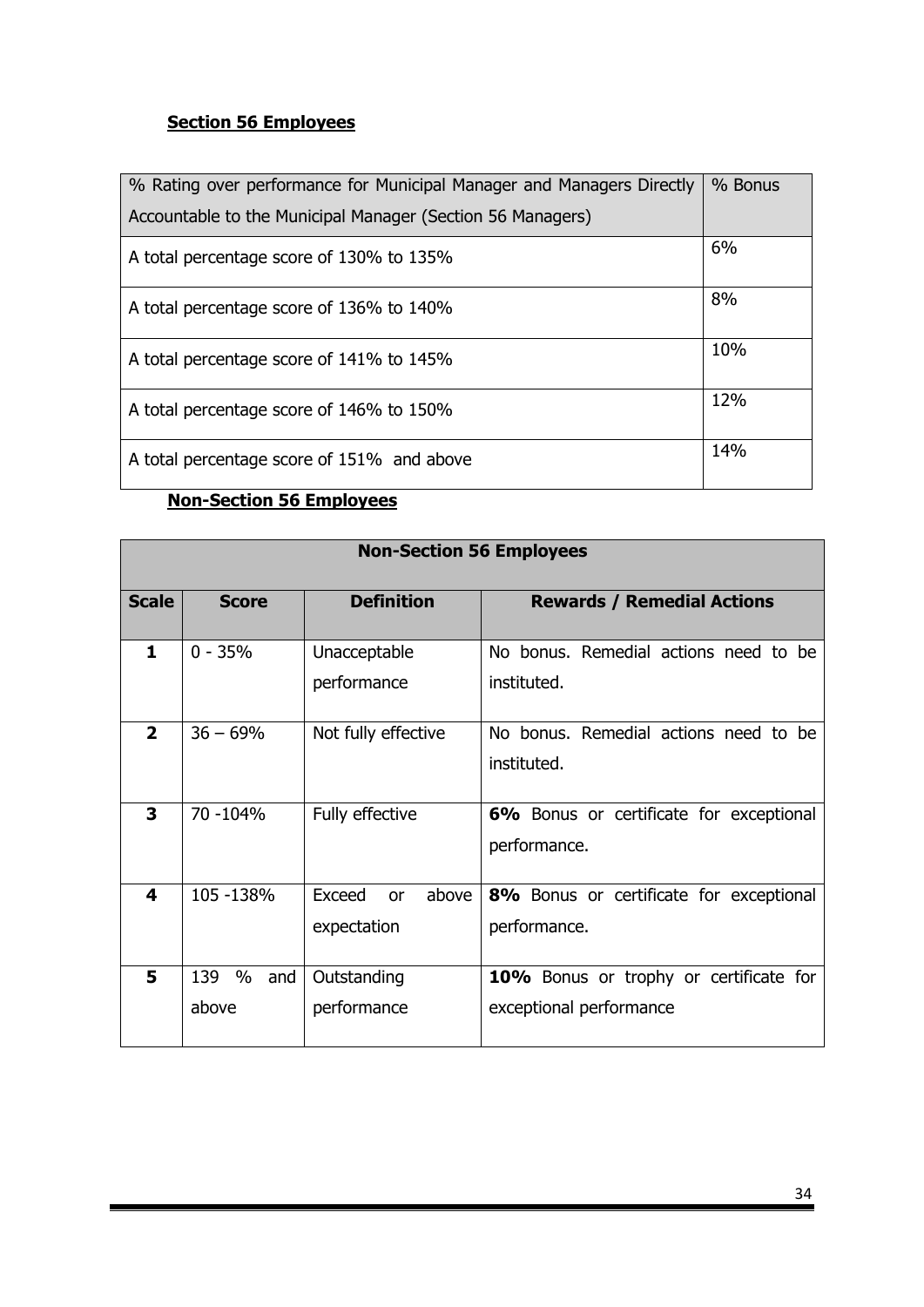# **Section 56 Employees**

| % Rating over performance for Municipal Manager and Managers Directly | % Bonus |
|-----------------------------------------------------------------------|---------|
| Accountable to the Municipal Manager (Section 56 Managers)            |         |
| A total percentage score of 130% to 135%                              | 6%      |
| A total percentage score of 136% to 140%                              | 8%      |
| A total percentage score of 141% to 145%                              | 10%     |
| A total percentage score of 146% to 150%                              | 12%     |
| A total percentage score of 151% and above                            | 14%     |

# **Non-Section 56 Employees**

| <b>Non-Section 56 Employees</b> |                          |                                      |                                                                   |
|---------------------------------|--------------------------|--------------------------------------|-------------------------------------------------------------------|
| <b>Scale</b>                    | <b>Score</b>             | <b>Definition</b>                    | <b>Rewards / Remedial Actions</b>                                 |
| $\mathbf{1}$                    | $0 - 35%$                | Unacceptable<br>performance          | No bonus. Remedial actions need to be<br>instituted.              |
| $\overline{2}$                  | $36 - 69%$               | Not fully effective                  | No bonus. Remedial actions need to be<br>instituted.              |
| 3                               | 70 -104%                 | Fully effective                      | 6% Bonus or certificate for exceptional<br>performance.           |
| $\overline{\mathbf{4}}$         | 105 -138%                | Exceed<br>above<br>or<br>expectation | 8% Bonus or certificate for exceptional<br>performance.           |
| 5                               | %<br>139<br>and<br>above | Outstanding<br>performance           | 10% Bonus or trophy or certificate for<br>exceptional performance |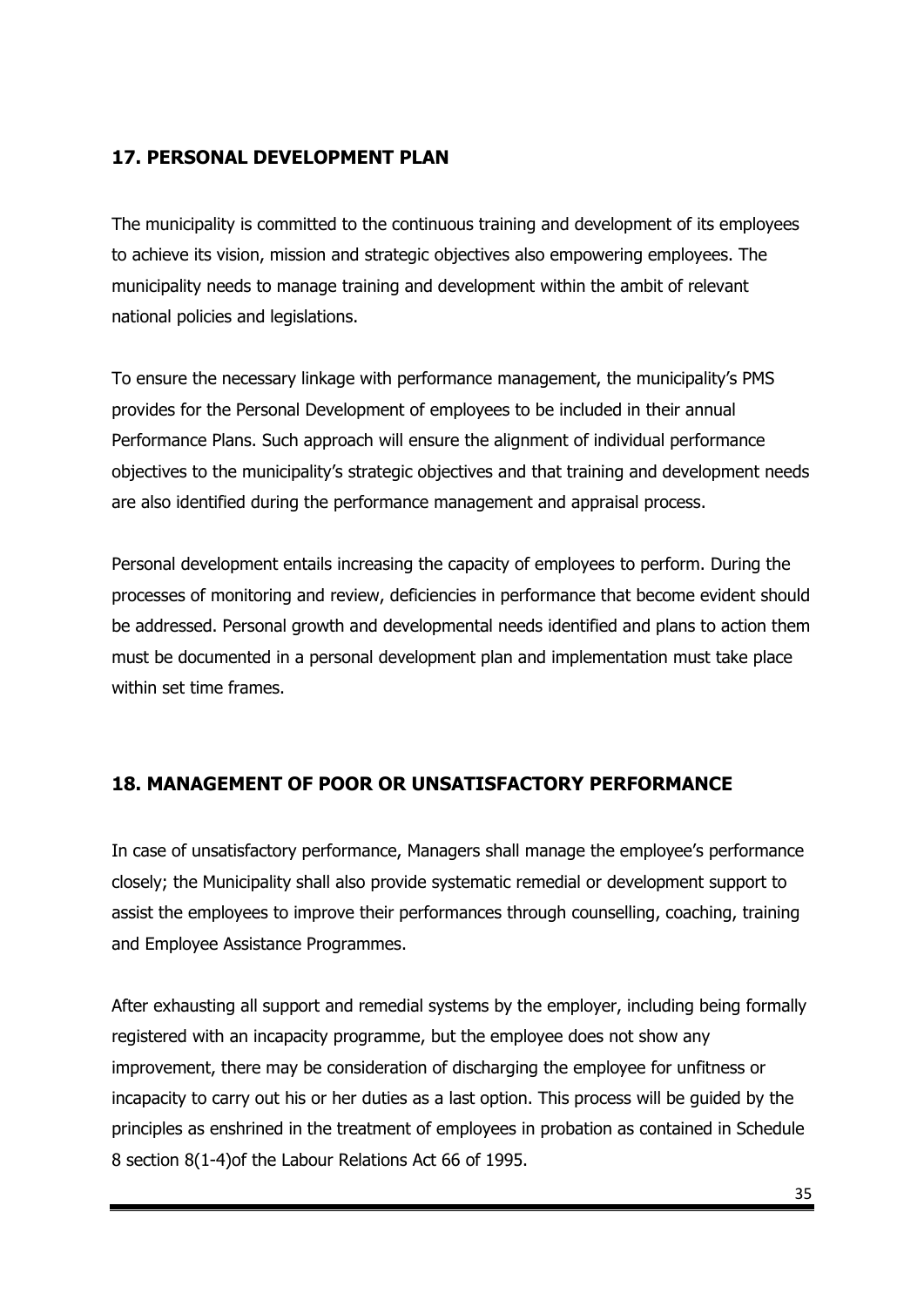# **17. PERSONAL DEVELOPMENT PLAN**

The municipality is committed to the continuous training and development of its employees to achieve its vision, mission and strategic objectives also empowering employees. The municipality needs to manage training and development within the ambit of relevant national policies and legislations.

To ensure the necessary linkage with performance management, the municipality's PMS provides for the Personal Development of employees to be included in their annual Performance Plans. Such approach will ensure the alignment of individual performance objectives to the municipality's strategic objectives and that training and development needs are also identified during the performance management and appraisal process.

Personal development entails increasing the capacity of employees to perform. During the processes of monitoring and review, deficiencies in performance that become evident should be addressed. Personal growth and developmental needs identified and plans to action them must be documented in a personal development plan and implementation must take place within set time frames.

## **18. MANAGEMENT OF POOR OR UNSATISFACTORY PERFORMANCE**

In case of unsatisfactory performance, Managers shall manage the employee's performance closely; the Municipality shall also provide systematic remedial or development support to assist the employees to improve their performances through counselling, coaching, training and Employee Assistance Programmes.

After exhausting all support and remedial systems by the employer, including being formally registered with an incapacity programme, but the employee does not show any improvement, there may be consideration of discharging the employee for unfitness or incapacity to carry out his or her duties as a last option. This process will be guided by the principles as enshrined in the treatment of employees in probation as contained in Schedule 8 section 8(1-4)of the Labour Relations Act 66 of 1995.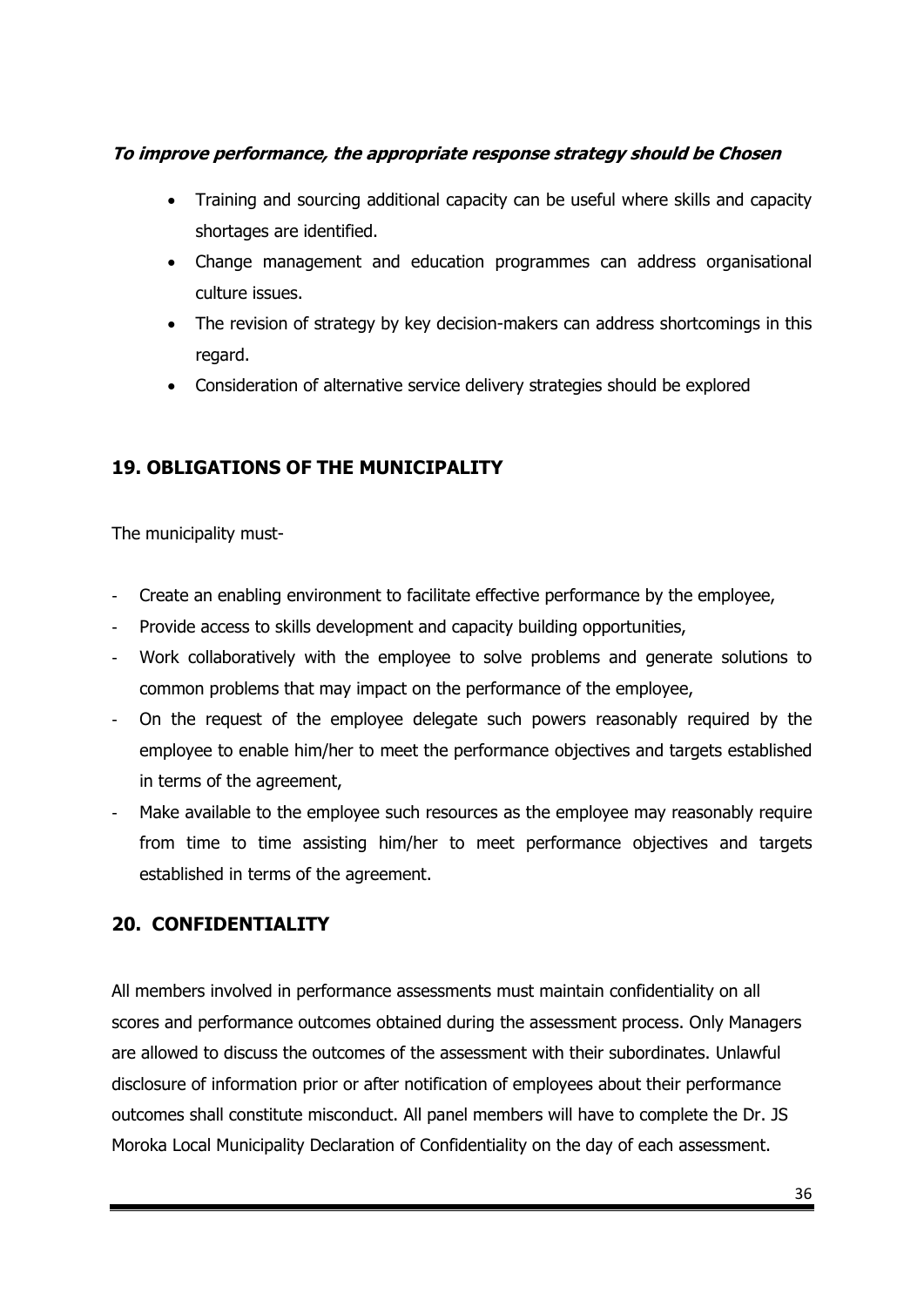## **To improve performance, the appropriate response strategy should be Chosen**

- Training and sourcing additional capacity can be useful where skills and capacity shortages are identified.
- Change management and education programmes can address organisational culture issues.
- The revision of strategy by key decision-makers can address shortcomings in this regard.
- Consideration of alternative service delivery strategies should be explored

# **19. OBLIGATIONS OF THE MUNICIPALITY**

The municipality must-

- Create an enabling environment to facilitate effective performance by the employee,
- Provide access to skills development and capacity building opportunities,
- Work collaboratively with the employee to solve problems and generate solutions to common problems that may impact on the performance of the employee,
- On the request of the employee delegate such powers reasonably required by the employee to enable him/her to meet the performance objectives and targets established in terms of the agreement,
- Make available to the employee such resources as the employee may reasonably require from time to time assisting him/her to meet performance objectives and targets established in terms of the agreement.

## **20. CONFIDENTIALITY**

All members involved in performance assessments must maintain confidentiality on all scores and performance outcomes obtained during the assessment process. Only Managers are allowed to discuss the outcomes of the assessment with their subordinates. Unlawful disclosure of information prior or after notification of employees about their performance outcomes shall constitute misconduct. All panel members will have to complete the Dr. JS Moroka Local Municipality Declaration of Confidentiality on the day of each assessment.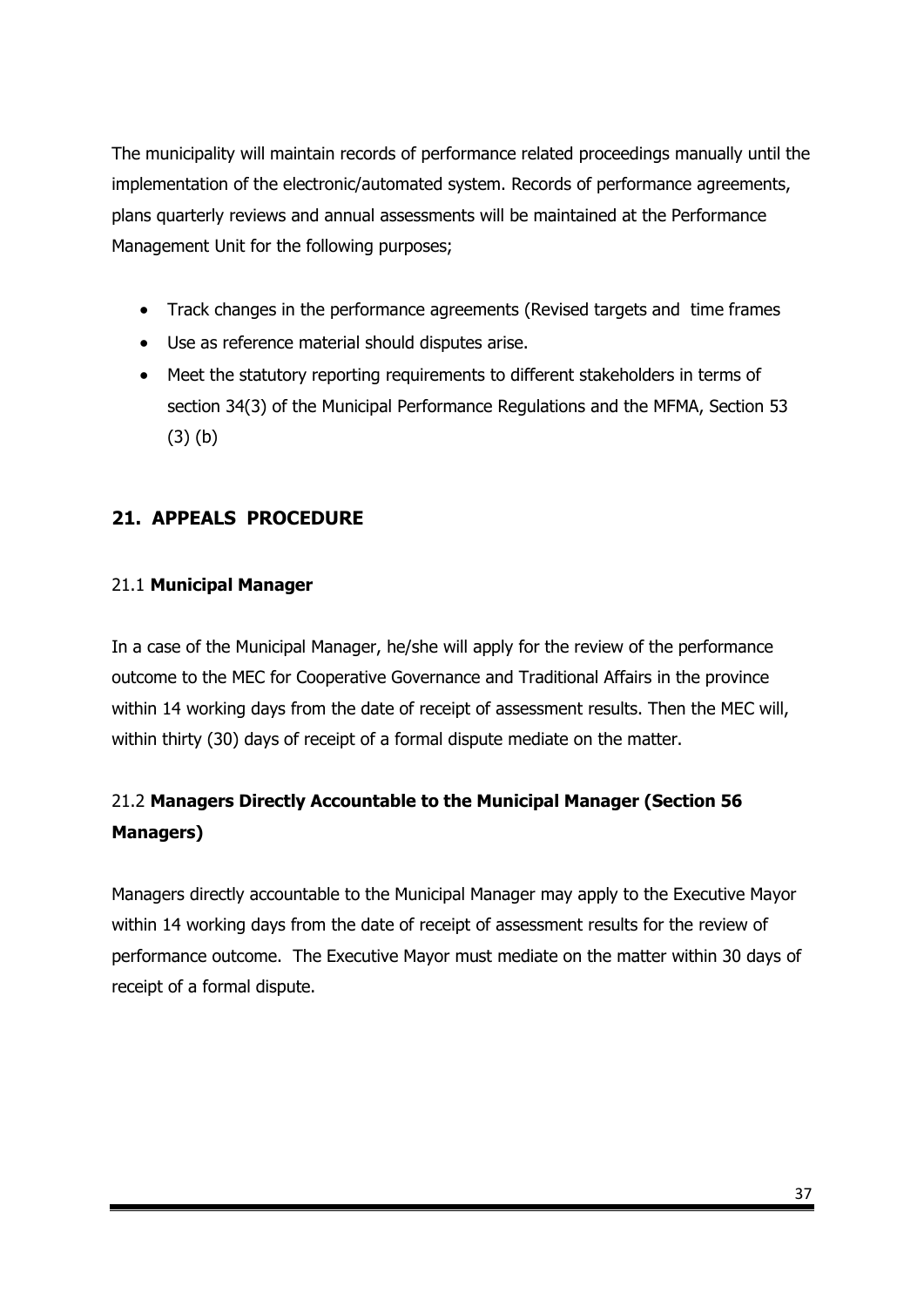The municipality will maintain records of performance related proceedings manually until the implementation of the electronic/automated system. Records of performance agreements, plans quarterly reviews and annual assessments will be maintained at the Performance Management Unit for the following purposes;

- Track changes in the performance agreements (Revised targets and time frames
- Use as reference material should disputes arise.
- Meet the statutory reporting requirements to different stakeholders in terms of section 34(3) of the Municipal Performance Regulations and the MFMA, Section 53 (3) (b)

## **21. APPEALS PROCEDURE**

## 21.1 **Municipal Manager**

In a case of the Municipal Manager, he/she will apply for the review of the performance outcome to the MEC for Cooperative Governance and Traditional Affairs in the province within 14 working days from the date of receipt of assessment results. Then the MEC will, within thirty (30) days of receipt of a formal dispute mediate on the matter.

# 21.2 **Managers Directly Accountable to the Municipal Manager (Section 56 Managers)**

Managers directly accountable to the Municipal Manager may apply to the Executive Mayor within 14 working days from the date of receipt of assessment results for the review of performance outcome. The Executive Mayor must mediate on the matter within 30 days of receipt of a formal dispute.